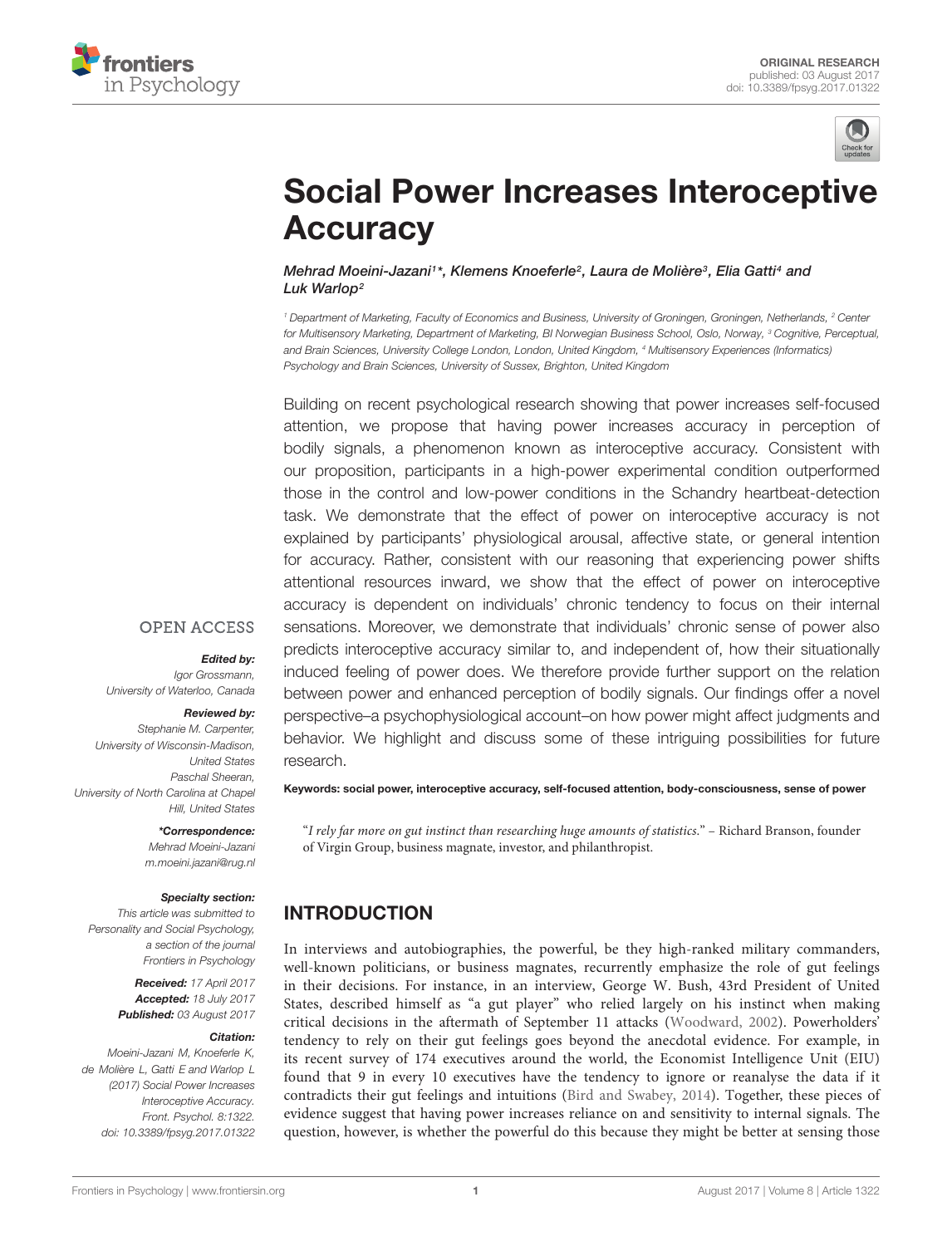



# [Social Power Increases Interoceptive](http://journal.frontiersin.org/article/10.3389/fpsyg.2017.01322/abstract) **Accuracy**

[Mehrad Moeini-Jazani](http://loop.frontiersin.org/people/418979/overview)1\*, [Klemens Knoeferle](http://loop.frontiersin.org/people/206013/overview)<sup>2</sup>, Laura de Molière<sup>3</sup>, Elia Gatti<sup>4</sup> and Luk Warlop<sup>2</sup>

<sup>1</sup> Department of Marketing, Faculty of Economics and Business, University of Groningen, Groningen, Netherlands, <sup>2</sup> Center for Multisensory Marketing, Department of Marketing, BI Norwegian Business School, Oslo, Norway, <sup>3</sup> Cognitive, Perceptual, and Brain Sciences, University College London, London, United Kingdom, <sup>4</sup> Multisensory Experiences (Informatics) Psychology and Brain Sciences, University of Sussex, Brighton, United Kingdom

Building on recent psychological research showing that power increases self-focused attention, we propose that having power increases accuracy in perception of bodily signals, a phenomenon known as interoceptive accuracy. Consistent with our proposition, participants in a high-power experimental condition outperformed those in the control and low-power conditions in the Schandry heartbeat-detection task. We demonstrate that the effect of power on interoceptive accuracy is not explained by participants' physiological arousal, affective state, or general intention for accuracy. Rather, consistent with our reasoning that experiencing power shifts attentional resources inward, we show that the effect of power on interoceptive accuracy is dependent on individuals' chronic tendency to focus on their internal sensations. Moreover, we demonstrate that individuals' chronic sense of power also predicts interoceptive accuracy similar to, and independent of, how their situationally induced feeling of power does. We therefore provide further support on the relation between power and enhanced perception of bodily signals. Our findings offer a novel perspective–a psychophysiological account–on how power might affect judgments and behavior. We highlight and discuss some of these intriguing possibilities for future research.

### **OPEN ACCESS**

#### Edited by:

Igor Grossmann, University of Waterloo, Canada

## Reviewed by:

Stephanie M. Carpenter, University of Wisconsin-Madison, United States Paschal Sheeran, University of North Carolina at Chapel Hill, United States

> \*Correspondence: Mehrad Moeini-Jazani m.moeini.jazani@rug.nl

#### Specialty section:

This article was submitted to Personality and Social Psychology, a section of the journal Frontiers in Psychology

> Received: 17 April 2017 Accepted: 18 July 2017 Published: 03 August 2017

#### Citation:

Moeini-Jazani M, Knoeferle K, de Molière L, Gatti E and Warlop L (2017) Social Power Increases Interoceptive Accuracy. Front. Psychol. 8:1322. doi: [10.3389/fpsyg.2017.01322](https://doi.org/10.3389/fpsyg.2017.01322)

Keywords: social power, interoceptive accuracy, self-focused attention, body-consciousness, sense of power

"I rely far more on gut instinct than researching huge amounts of statistics." – Richard Branson, founder of Virgin Group, business magnate, investor, and philanthropist.

# INTRODUCTION

In interviews and autobiographies, the powerful, be they high-ranked military commanders, well-known politicians, or business magnates, recurrently emphasize the role of gut feelings in their decisions. For instance, in an interview, George W. Bush, 43rd President of United States, described himself as "a gut player" who relied largely on his instinct when making critical decisions in the aftermath of September 11 attacks [\(Woodward,](#page-11-0) [2002\)](#page-11-0). Powerholders' tendency to rely on their gut feelings goes beyond the anecdotal evidence. For example, in its recent survey of 174 executives around the world, the Economist Intelligence Unit (EIU) found that 9 in every 10 executives have the tendency to ignore or reanalyse the data if it contradicts their gut feelings and intuitions [\(Bird and Swabey,](#page-10-0) [2014\)](#page-10-0). Together, these pieces of evidence suggest that having power increases reliance on and sensitivity to internal signals. The question, however, is whether the powerful do this because they might be better at sensing those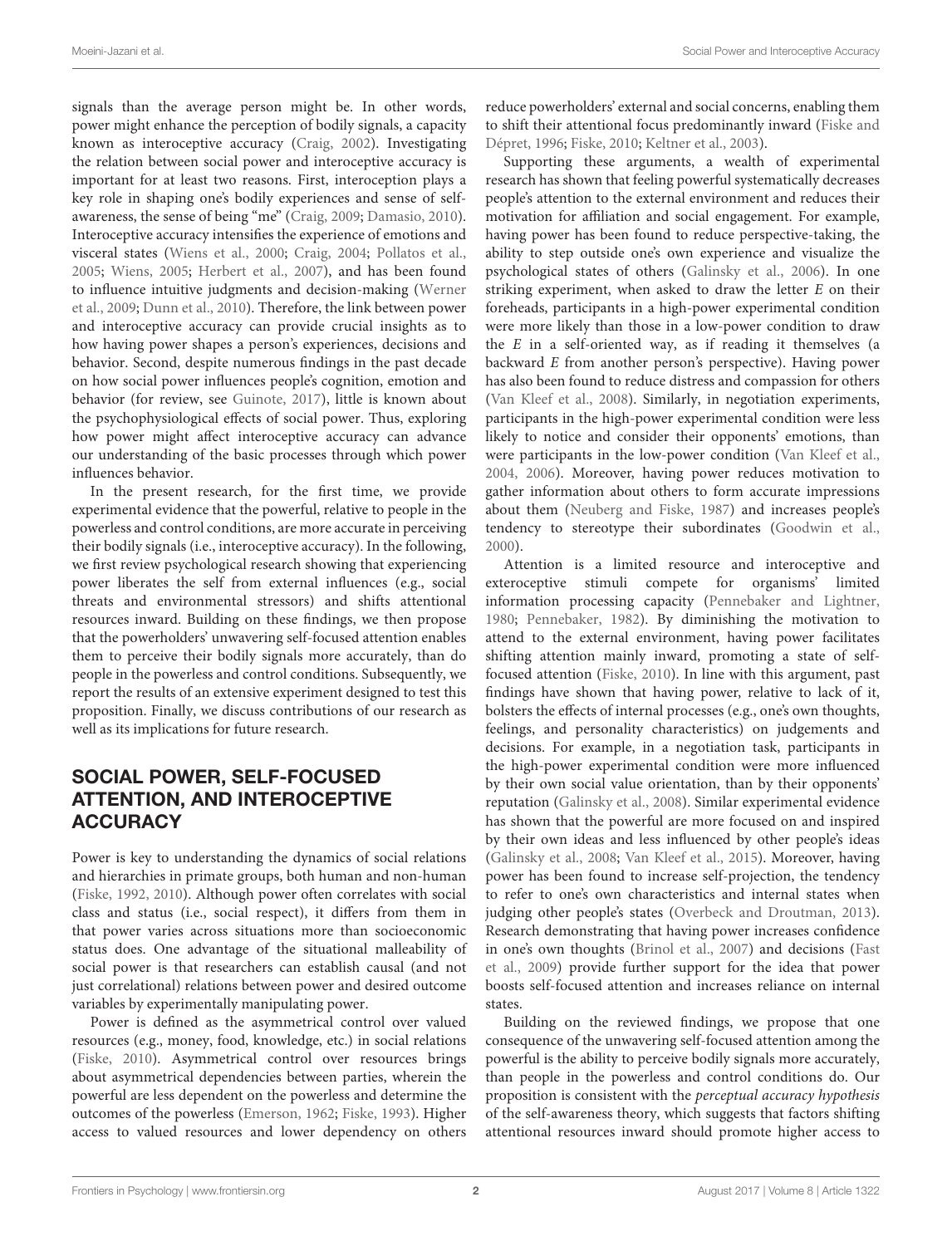signals than the average person might be. In other words, power might enhance the perception of bodily signals, a capacity known as interoceptive accuracy [\(Craig,](#page-10-1) [2002\)](#page-10-1). Investigating the relation between social power and interoceptive accuracy is important for at least two reasons. First, interoception plays a key role in shaping one's bodily experiences and sense of selfawareness, the sense of being "me" [\(Craig,](#page-10-2) [2009;](#page-10-2) [Damasio,](#page-10-3) [2010\)](#page-10-3). Interoceptive accuracy intensifies the experience of emotions and visceral states [\(Wiens et al.,](#page-11-1) [2000;](#page-11-1) [Craig,](#page-10-4) [2004;](#page-10-4) [Pollatos et al.,](#page-11-2) [2005;](#page-11-2) [Wiens,](#page-11-3) [2005;](#page-11-3) [Herbert et al.,](#page-10-5) [2007\)](#page-10-5), and has been found to influence intuitive judgments and decision-making [\(Werner](#page-11-4) [et al.,](#page-11-4) [2009;](#page-11-4) [Dunn et al.,](#page-10-6) [2010\)](#page-10-6). Therefore, the link between power and interoceptive accuracy can provide crucial insights as to how having power shapes a person's experiences, decisions and behavior. Second, despite numerous findings in the past decade on how social power influences people's cognition, emotion and behavior (for review, see [Guinote,](#page-10-7) [2017\)](#page-10-7), little is known about the psychophysiological effects of social power. Thus, exploring how power might affect interoceptive accuracy can advance our understanding of the basic processes through which power influences behavior.

In the present research, for the first time, we provide experimental evidence that the powerful, relative to people in the powerless and control conditions, are more accurate in perceiving their bodily signals (i.e., interoceptive accuracy). In the following, we first review psychological research showing that experiencing power liberates the self from external influences (e.g., social threats and environmental stressors) and shifts attentional resources inward. Building on these findings, we then propose that the powerholders' unwavering self-focused attention enables them to perceive their bodily signals more accurately, than do people in the powerless and control conditions. Subsequently, we report the results of an extensive experiment designed to test this proposition. Finally, we discuss contributions of our research as well as its implications for future research.

# SOCIAL POWER, SELF-FOCUSED ATTENTION, AND INTEROCEPTIVE **ACCURACY**

Power is key to understanding the dynamics of social relations and hierarchies in primate groups, both human and non-human [\(Fiske,](#page-10-8) [1992,](#page-10-8) [2010\)](#page-10-9). Although power often correlates with social class and status (i.e., social respect), it differs from them in that power varies across situations more than socioeconomic status does. One advantage of the situational malleability of social power is that researchers can establish causal (and not just correlational) relations between power and desired outcome variables by experimentally manipulating power.

Power is defined as the asymmetrical control over valued resources (e.g., money, food, knowledge, etc.) in social relations [\(Fiske,](#page-10-9) [2010\)](#page-10-9). Asymmetrical control over resources brings about asymmetrical dependencies between parties, wherein the powerful are less dependent on the powerless and determine the outcomes of the powerless [\(Emerson,](#page-10-10) [1962;](#page-10-10) [Fiske,](#page-10-11) [1993\)](#page-10-11). Higher access to valued resources and lower dependency on others

reduce powerholders' external and social concerns, enabling them to shift their attentional focus predominantly inward [\(Fiske and](#page-10-12) [Dépret,](#page-10-12) [1996;](#page-10-12) [Fiske,](#page-10-9) [2010;](#page-10-9) [Keltner et al.,](#page-10-13) [2003\)](#page-10-13).

Supporting these arguments, a wealth of experimental research has shown that feeling powerful systematically decreases people's attention to the external environment and reduces their motivation for affiliation and social engagement. For example, having power has been found to reduce perspective-taking, the ability to step outside one's own experience and visualize the psychological states of others [\(Galinsky et al.,](#page-10-14) [2006\)](#page-10-14). In one striking experiment, when asked to draw the letter E on their foreheads, participants in a high-power experimental condition were more likely than those in a low-power condition to draw the  $E$  in a self-oriented way, as if reading it themselves (a backward E from another person's perspective). Having power has also been found to reduce distress and compassion for others [\(Van Kleef et al.,](#page-11-5) [2008\)](#page-11-5). Similarly, in negotiation experiments, participants in the high-power experimental condition were less likely to notice and consider their opponents' emotions, than were participants in the low-power condition [\(Van Kleef et al.,](#page-11-6) [2004,](#page-11-6) [2006\)](#page-11-7). Moreover, having power reduces motivation to gather information about others to form accurate impressions about them [\(Neuberg and Fiske,](#page-11-8) [1987\)](#page-11-8) and increases people's tendency to stereotype their subordinates [\(Goodwin et al.,](#page-10-15) [2000\)](#page-10-15).

Attention is a limited resource and interoceptive and exteroceptive stimuli compete for organisms' limited information processing capacity [\(Pennebaker and Lightner,](#page-11-9) [1980;](#page-11-9) [Pennebaker,](#page-11-10) [1982\)](#page-11-10). By diminishing the motivation to attend to the external environment, having power facilitates shifting attention mainly inward, promoting a state of selffocused attention [\(Fiske,](#page-10-9) [2010\)](#page-10-9). In line with this argument, past findings have shown that having power, relative to lack of it, bolsters the effects of internal processes (e.g., one's own thoughts, feelings, and personality characteristics) on judgements and decisions. For example, in a negotiation task, participants in the high-power experimental condition were more influenced by their own social value orientation, than by their opponents' reputation [\(Galinsky et al.,](#page-10-16) [2008\)](#page-10-16). Similar experimental evidence has shown that the powerful are more focused on and inspired by their own ideas and less influenced by other people's ideas [\(Galinsky et al.,](#page-10-16) [2008;](#page-10-16) [Van Kleef et al.,](#page-11-11) [2015\)](#page-11-11). Moreover, having power has been found to increase self-projection, the tendency to refer to one's own characteristics and internal states when judging other people's states [\(Overbeck and Droutman,](#page-11-12) [2013\)](#page-11-12). Research demonstrating that having power increases confidence in one's own thoughts [\(Brinol et al.,](#page-10-17) [2007\)](#page-10-17) and decisions [\(Fast](#page-10-18) [et al.,](#page-10-18) [2009\)](#page-10-18) provide further support for the idea that power boosts self-focused attention and increases reliance on internal states.

Building on the reviewed findings, we propose that one consequence of the unwavering self-focused attention among the powerful is the ability to perceive bodily signals more accurately, than people in the powerless and control conditions do. Our proposition is consistent with the perceptual accuracy hypothesis of the self-awareness theory, which suggests that factors shifting attentional resources inward should promote higher access to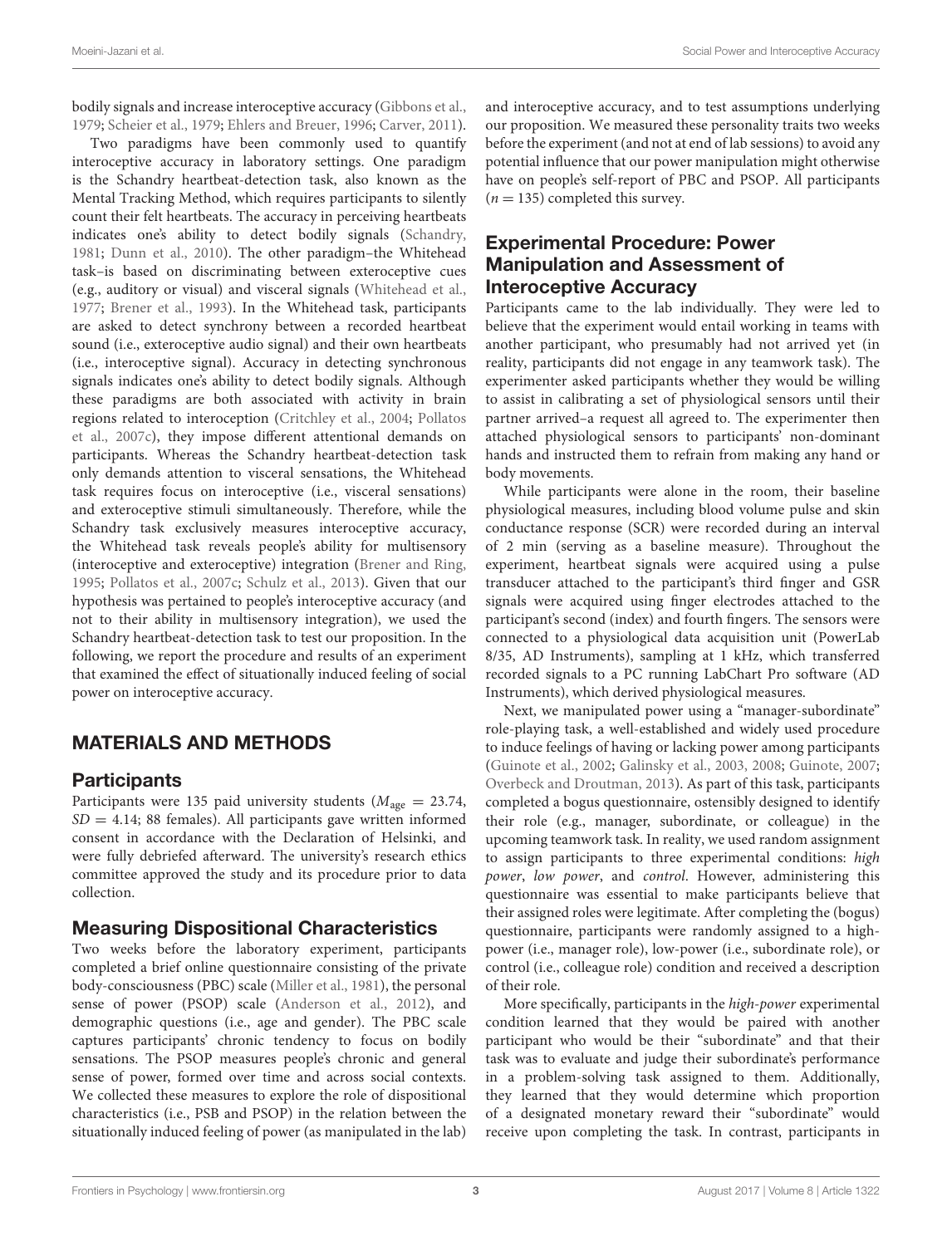bodily signals and increase interoceptive accuracy [\(Gibbons et al.,](#page-10-19) [1979;](#page-10-19) [Scheier et al.,](#page-11-13) [1979;](#page-11-13) [Ehlers and Breuer,](#page-10-20) [1996;](#page-10-20) [Carver,](#page-10-21) [2011\)](#page-10-21).

Two paradigms have been commonly used to quantify interoceptive accuracy in laboratory settings. One paradigm is the Schandry heartbeat-detection task, also known as the Mental Tracking Method, which requires participants to silently count their felt heartbeats. The accuracy in perceiving heartbeats indicates one's ability to detect bodily signals [\(Schandry,](#page-11-14) [1981;](#page-11-14) [Dunn et al.,](#page-10-6) [2010\)](#page-10-6). The other paradigm–the Whitehead task–is based on discriminating between exteroceptive cues (e.g., auditory or visual) and visceral signals [\(Whitehead et al.,](#page-11-15) [1977;](#page-11-15) [Brener et al.,](#page-10-22) [1993\)](#page-10-22). In the Whitehead task, participants are asked to detect synchrony between a recorded heartbeat sound (i.e., exteroceptive audio signal) and their own heartbeats (i.e., interoceptive signal). Accuracy in detecting synchronous signals indicates one's ability to detect bodily signals. Although these paradigms are both associated with activity in brain regions related to interoception [\(Critchley et al.,](#page-10-23) [2004;](#page-10-23) [Pollatos](#page-11-16) [et al.,](#page-11-16) [2007c\)](#page-11-16), they impose different attentional demands on participants. Whereas the Schandry heartbeat-detection task only demands attention to visceral sensations, the Whitehead task requires focus on interoceptive (i.e., visceral sensations) and exteroceptive stimuli simultaneously. Therefore, while the Schandry task exclusively measures interoceptive accuracy, the Whitehead task reveals people's ability for multisensory (interoceptive and exteroceptive) integration [\(Brener and Ring,](#page-10-24) [1995;](#page-10-24) [Pollatos et al.,](#page-11-16) [2007c;](#page-11-16) [Schulz et al.,](#page-11-17) [2013\)](#page-11-17). Given that our hypothesis was pertained to people's interoceptive accuracy (and not to their ability in multisensory integration), we used the Schandry heartbeat-detection task to test our proposition. In the following, we report the procedure and results of an experiment that examined the effect of situationally induced feeling of social power on interoceptive accuracy.

# MATERIALS AND METHODS

## **Participants**

Participants were 135 paid university students ( $M_{\text{age}} = 23.74$ ,  $SD = 4.14$ ; 88 females). All participants gave written informed consent in accordance with the Declaration of Helsinki, and were fully debriefed afterward. The university's research ethics committee approved the study and its procedure prior to data collection.

## Measuring Dispositional Characteristics

Two weeks before the laboratory experiment, participants completed a brief online questionnaire consisting of the private body-consciousness (PBC) scale [\(Miller et al.,](#page-11-18) [1981\)](#page-11-18), the personal sense of power (PSOP) scale [\(Anderson et al.,](#page-10-25) [2012\)](#page-10-25), and demographic questions (i.e., age and gender). The PBC scale captures participants' chronic tendency to focus on bodily sensations. The PSOP measures people's chronic and general sense of power, formed over time and across social contexts. We collected these measures to explore the role of dispositional characteristics (i.e., PSB and PSOP) in the relation between the situationally induced feeling of power (as manipulated in the lab)

and interoceptive accuracy, and to test assumptions underlying our proposition. We measured these personality traits two weeks before the experiment (and not at end of lab sessions) to avoid any potential influence that our power manipulation might otherwise have on people's self-report of PBC and PSOP. All participants  $(n = 135)$  completed this survey.

## Experimental Procedure: Power Manipulation and Assessment of Interoceptive Accuracy

Participants came to the lab individually. They were led to believe that the experiment would entail working in teams with another participant, who presumably had not arrived yet (in reality, participants did not engage in any teamwork task). The experimenter asked participants whether they would be willing to assist in calibrating a set of physiological sensors until their partner arrived–a request all agreed to. The experimenter then attached physiological sensors to participants' non-dominant hands and instructed them to refrain from making any hand or body movements.

While participants were alone in the room, their baseline physiological measures, including blood volume pulse and skin conductance response (SCR) were recorded during an interval of 2 min (serving as a baseline measure). Throughout the experiment, heartbeat signals were acquired using a pulse transducer attached to the participant's third finger and GSR signals were acquired using finger electrodes attached to the participant's second (index) and fourth fingers. The sensors were connected to a physiological data acquisition unit (PowerLab 8/35, AD Instruments), sampling at 1 kHz, which transferred recorded signals to a PC running LabChart Pro software (AD Instruments), which derived physiological measures.

Next, we manipulated power using a "manager-subordinate" role-playing task, a well-established and widely used procedure to induce feelings of having or lacking power among participants [\(Guinote et al.,](#page-10-26) [2002;](#page-10-26) [Galinsky et al.,](#page-10-27) [2003,](#page-10-27) [2008;](#page-10-16) [Guinote,](#page-10-28) [2007;](#page-10-28) [Overbeck and Droutman,](#page-11-12) [2013\)](#page-11-12). As part of this task, participants completed a bogus questionnaire, ostensibly designed to identify their role (e.g., manager, subordinate, or colleague) in the upcoming teamwork task. In reality, we used random assignment to assign participants to three experimental conditions: high power, low power, and control. However, administering this questionnaire was essential to make participants believe that their assigned roles were legitimate. After completing the (bogus) questionnaire, participants were randomly assigned to a highpower (i.e., manager role), low-power (i.e., subordinate role), or control (i.e., colleague role) condition and received a description of their role.

More specifically, participants in the high-power experimental condition learned that they would be paired with another participant who would be their "subordinate" and that their task was to evaluate and judge their subordinate's performance in a problem-solving task assigned to them. Additionally, they learned that they would determine which proportion of a designated monetary reward their "subordinate" would receive upon completing the task. In contrast, participants in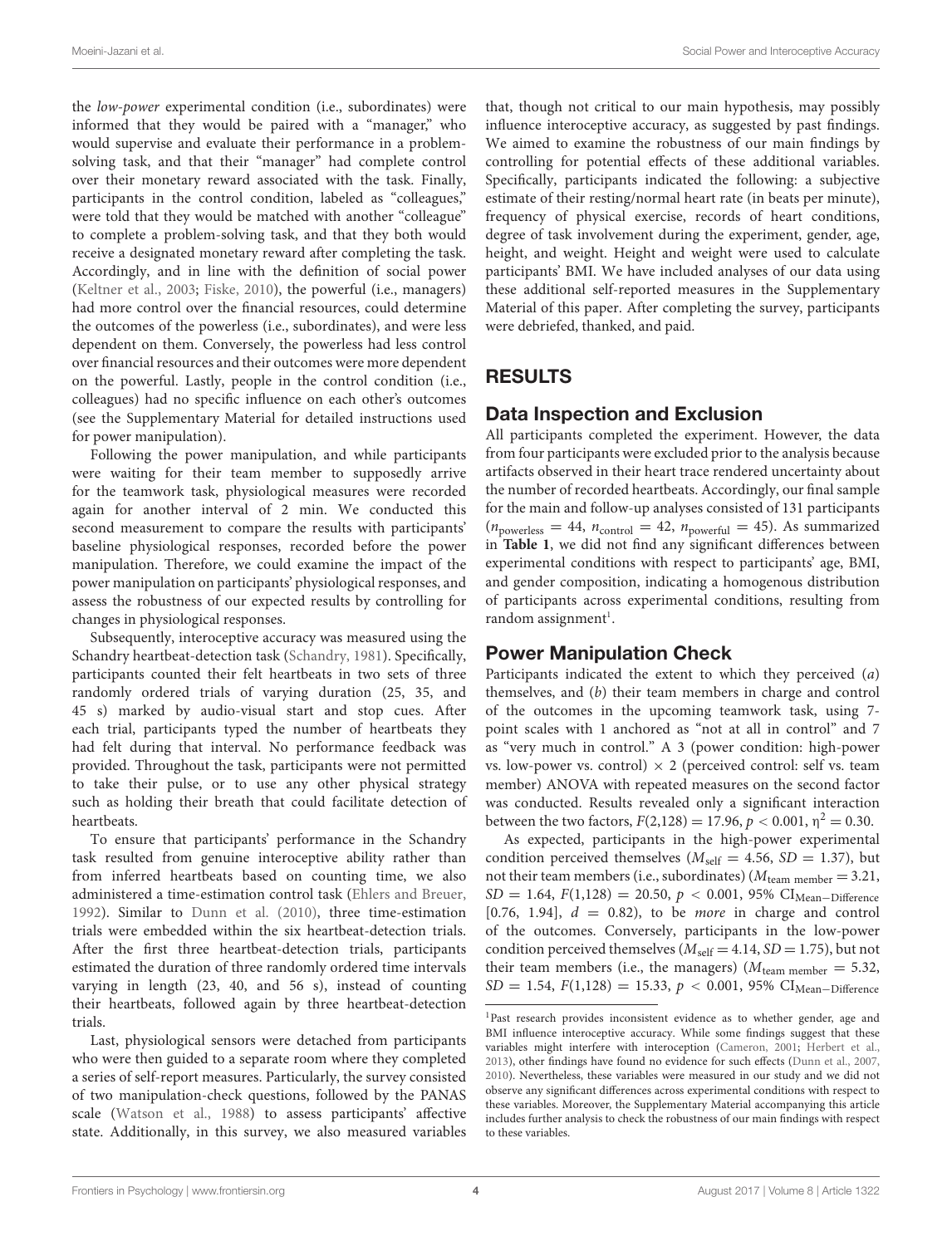the low-power experimental condition (i.e., subordinates) were informed that they would be paired with a "manager," who would supervise and evaluate their performance in a problemsolving task, and that their "manager" had complete control over their monetary reward associated with the task. Finally, participants in the control condition, labeled as "colleagues," were told that they would be matched with another "colleague" to complete a problem-solving task, and that they both would receive a designated monetary reward after completing the task. Accordingly, and in line with the definition of social power [\(Keltner et al.,](#page-10-13) [2003;](#page-10-13) [Fiske,](#page-10-9) [2010\)](#page-10-9), the powerful (i.e., managers) had more control over the financial resources, could determine the outcomes of the powerless (i.e., subordinates), and were less dependent on them. Conversely, the powerless had less control over financial resources and their outcomes were more dependent on the powerful. Lastly, people in the control condition (i.e., colleagues) had no specific influence on each other's outcomes (see the Supplementary Material for detailed instructions used for power manipulation).

Following the power manipulation, and while participants were waiting for their team member to supposedly arrive for the teamwork task, physiological measures were recorded again for another interval of 2 min. We conducted this second measurement to compare the results with participants' baseline physiological responses, recorded before the power manipulation. Therefore, we could examine the impact of the power manipulation on participants' physiological responses, and assess the robustness of our expected results by controlling for changes in physiological responses.

Subsequently, interoceptive accuracy was measured using the Schandry heartbeat-detection task [\(Schandry,](#page-11-14) [1981\)](#page-11-14). Specifically, participants counted their felt heartbeats in two sets of three randomly ordered trials of varying duration (25, 35, and 45 s) marked by audio-visual start and stop cues. After each trial, participants typed the number of heartbeats they had felt during that interval. No performance feedback was provided. Throughout the task, participants were not permitted to take their pulse, or to use any other physical strategy such as holding their breath that could facilitate detection of heartbeats.

To ensure that participants' performance in the Schandry task resulted from genuine interoceptive ability rather than from inferred heartbeats based on counting time, we also administered a time-estimation control task [\(Ehlers and Breuer,](#page-10-29) [1992\)](#page-10-29). Similar to [Dunn et al.](#page-10-6) [\(2010\)](#page-10-6), three time-estimation trials were embedded within the six heartbeat-detection trials. After the first three heartbeat-detection trials, participants estimated the duration of three randomly ordered time intervals varying in length (23, 40, and 56 s), instead of counting their heartbeats, followed again by three heartbeat-detection trials.

Last, physiological sensors were detached from participants who were then guided to a separate room where they completed a series of self-report measures. Particularly, the survey consisted of two manipulation-check questions, followed by the PANAS scale [\(Watson et al.,](#page-11-19) [1988\)](#page-11-19) to assess participants' affective state. Additionally, in this survey, we also measured variables

that, though not critical to our main hypothesis, may possibly influence interoceptive accuracy, as suggested by past findings. We aimed to examine the robustness of our main findings by controlling for potential effects of these additional variables. Specifically, participants indicated the following: a subjective estimate of their resting/normal heart rate (in beats per minute), frequency of physical exercise, records of heart conditions, degree of task involvement during the experiment, gender, age, height, and weight. Height and weight were used to calculate participants' BMI. We have included analyses of our data using these additional self-reported measures in the Supplementary Material of this paper. After completing the survey, participants were debriefed, thanked, and paid.

# RESULTS

## Data Inspection and Exclusion

All participants completed the experiment. However, the data from four participants were excluded prior to the analysis because artifacts observed in their heart trace rendered uncertainty about the number of recorded heartbeats. Accordingly, our final sample for the main and follow-up analyses consisted of 131 participants  $(n_{\text{powers}} = 44, n_{\text{control}} = 42, n_{\text{powerful}} = 45)$ . As summarized in **[Table 1](#page-4-0)**, we did not find any significant differences between experimental conditions with respect to participants' age, BMI, and gender composition, indicating a homogenous distribution of participants across experimental conditions, resulting from random assignment<sup>[1](#page-3-0)</sup>.

# Power Manipulation Check

Participants indicated the extent to which they perceived (a) themselves, and (b) their team members in charge and control of the outcomes in the upcoming teamwork task, using 7 point scales with 1 anchored as "not at all in control" and 7 as "very much in control." A 3 (power condition: high-power vs. low-power vs. control)  $\times$  2 (perceived control: self vs. team member) ANOVA with repeated measures on the second factor was conducted. Results revealed only a significant interaction between the two factors,  $F(2,128) = 17.96, p < 0.001, \eta^2 = 0.30$ .

As expected, participants in the high-power experimental condition perceived themselves ( $M_{\text{self}} = 4.56$ ,  $SD = 1.37$ ), but not their team members (i.e., subordinates) ( $M_{\text{team member}} = 3.21$ ,  $SD = 1.64$ ,  $F(1,128) = 20.50$ ,  $p < 0.001$ , 95% CI<sub>Mean</sub>–Difference [0.76, 1.94],  $d = 0.82$ ], to be *more* in charge and control of the outcomes. Conversely, participants in the low-power condition perceived themselves ( $M_{\text{self}} = 4.14$ , SD = 1.75), but not their team members (i.e., the managers) ( $M_{\text{team member}} = 5.32$ ,  $SD = 1.54, F(1,128) = 15.33, p < 0.001, 95\% \text{ CI}_{Mean-Difference}$ 

<span id="page-3-0"></span><sup>&</sup>lt;sup>1</sup>Past research provides inconsistent evidence as to whether gender, age and BMI influence interoceptive accuracy. While some findings suggest that these variables might interfere with interoception [\(Cameron,](#page-10-30) [2001;](#page-10-30) [Herbert et al.,](#page-10-31) [2013\)](#page-10-31), other findings have found no evidence for such effects [\(Dunn et al.,](#page-10-32) [2007,](#page-10-32) [2010\)](#page-10-6). Nevertheless, these variables were measured in our study and we did not observe any significant differences across experimental conditions with respect to these variables. Moreover, the Supplementary Material accompanying this article includes further analysis to check the robustness of our main findings with respect to these variables.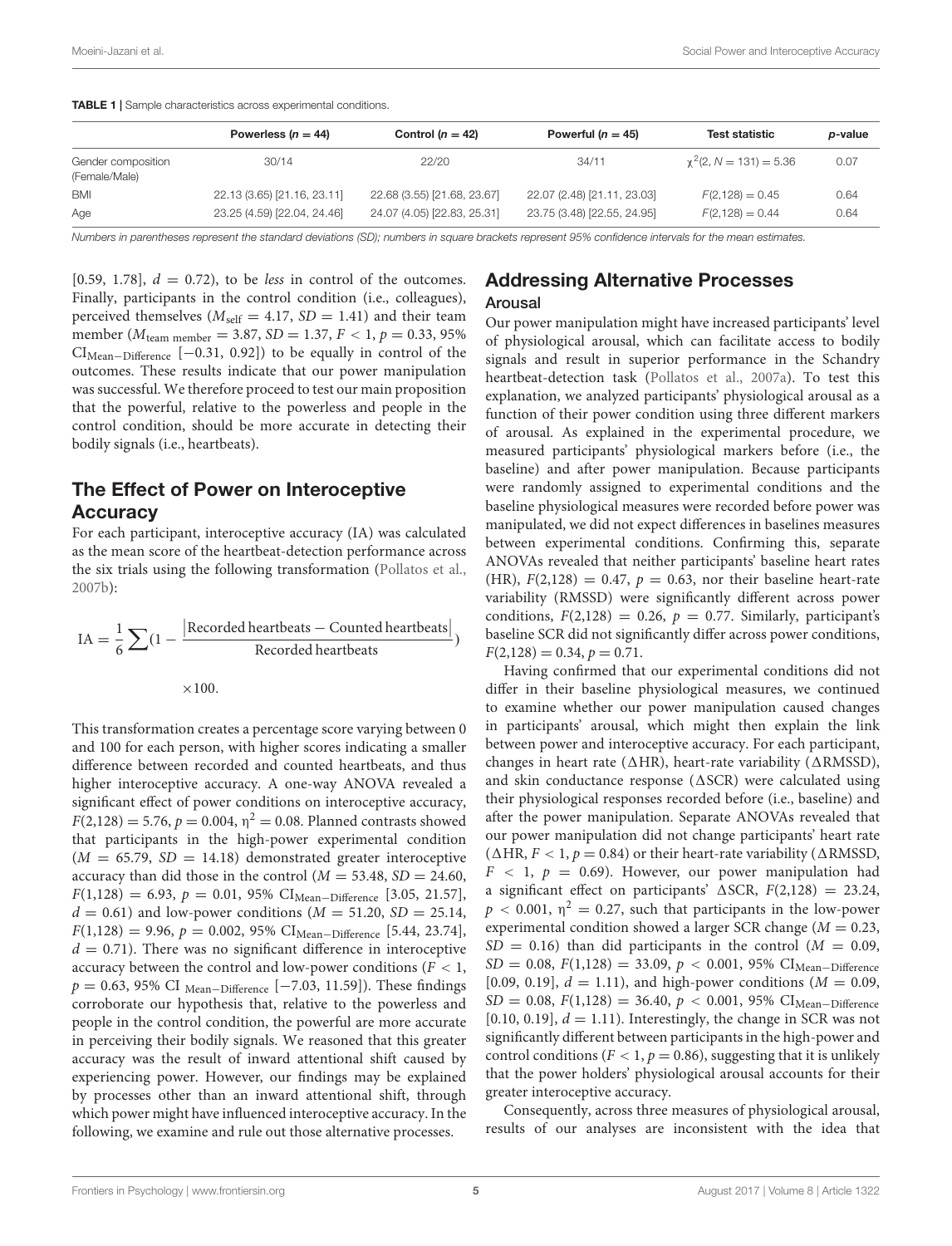<span id="page-4-0"></span>TABLE 1 | Sample characteristics across experimental conditions.

|                                     | Powerless $(n = 44)$        | Control $(n = 42)$          | Powerful ( $n = 45$ )       | <b>Test statistic</b>        | p-value |
|-------------------------------------|-----------------------------|-----------------------------|-----------------------------|------------------------------|---------|
| Gender composition<br>(Female/Male) | 30/14                       | 22/20                       | 34/11                       | $\chi^2$ (2, N = 131) = 5.36 | 0.07    |
| <b>BMI</b>                          | 22.13 (3.65) [21.16, 23.11] | 22.68 (3.55) [21.68, 23.67] | 22.07 (2.48) [21.11, 23.03] | $F(2, 128) = 0.45$           | 0.64    |
| Age                                 | 23.25 (4.59) [22.04, 24.46] | 24.07 (4.05) [22.83, 25.31] | 23.75 (3.48) [22.55, 24.95] | $F(2,128) = 0.44$            | 0.64    |

Numbers in parentheses represent the standard deviations (SD); numbers in square brackets represent 95% confidence intervals for the mean estimates.

[0.59, 1.78],  $d = 0.72$ ], to be less in control of the outcomes. Finally, participants in the control condition (i.e., colleagues), perceived themselves ( $M_{\text{self}} = 4.17$ ,  $SD = 1.41$ ) and their team member ( $M_{\text{team member}} = 3.87$ ,  $SD = 1.37$ ,  $F < 1$ ,  $p = 0.33$ , 95% CIMean−Difference [−0.31, 0.92]) to be equally in control of the outcomes. These results indicate that our power manipulation was successful. We therefore proceed to test our main proposition that the powerful, relative to the powerless and people in the control condition, should be more accurate in detecting their bodily signals (i.e., heartbeats).

## The Effect of Power on Interoceptive **Accuracy**

For each participant, interoceptive accuracy (IA) was calculated as the mean score of the heartbeat-detection performance across the six trials using the following transformation [\(Pollatos et al.,](#page-11-20) [2007b\)](#page-11-20):

$$
IA = \frac{1}{6} \sum (1 - \frac{|\text{Recorded heartbeats} - \text{Counted heartbeats}|}{\text{Recorded heartbeats}})
$$

$$
\times 100.
$$

This transformation creates a percentage score varying between 0 and 100 for each person, with higher scores indicating a smaller difference between recorded and counted heartbeats, and thus higher interoceptive accuracy. A one-way ANOVA revealed a significant effect of power conditions on interoceptive accuracy,  $F(2,128) = 5.76, p = 0.004, \eta^2 = 0.08$ . Planned contrasts showed that participants in the high-power experimental condition  $(M = 65.79, SD = 14.18)$  demonstrated greater interoceptive accuracy than did those in the control  $(M = 53.48, SD = 24.60,$  $F(1,128) = 6.93, p = 0.01, 95\% \text{ CI}_{Mean-Difference}$  [3.05, 21.57],  $d = 0.61$ ) and low-power conditions ( $M = 51.20$ ,  $SD = 25.14$ ,  $F(1,128) = 9.96, p = 0.002, 95\% \text{ CI}_{Mean-Difference}$  [5.44, 23.74],  $d = 0.71$ ). There was no significant difference in interoceptive accuracy between the control and low-power conditions ( $F < 1$ ,  $p = 0.63$ , 95% CI <sub>Mean</sub>–Difference [−7.03, 11.59]). These findings corroborate our hypothesis that, relative to the powerless and people in the control condition, the powerful are more accurate in perceiving their bodily signals. We reasoned that this greater accuracy was the result of inward attentional shift caused by experiencing power. However, our findings may be explained by processes other than an inward attentional shift, through which power might have influenced interoceptive accuracy. In the following, we examine and rule out those alternative processes.

## Addressing Alternative Processes Arousal

Our power manipulation might have increased participants' level of physiological arousal, which can facilitate access to bodily signals and result in superior performance in the Schandry heartbeat-detection task [\(Pollatos et al.,](#page-11-21) [2007a\)](#page-11-21). To test this explanation, we analyzed participants' physiological arousal as a function of their power condition using three different markers of arousal. As explained in the experimental procedure, we measured participants' physiological markers before (i.e., the baseline) and after power manipulation. Because participants were randomly assigned to experimental conditions and the baseline physiological measures were recorded before power was manipulated, we did not expect differences in baselines measures between experimental conditions. Confirming this, separate ANOVAs revealed that neither participants' baseline heart rates (HR),  $F(2,128) = 0.47$ ,  $p = 0.63$ , nor their baseline heart-rate variability (RMSSD) were significantly different across power conditions,  $F(2,128) = 0.26$ ,  $p = 0.77$ . Similarly, participant's baseline SCR did not significantly differ across power conditions,  $F(2,128) = 0.34, p = 0.71.$ 

Having confirmed that our experimental conditions did not differ in their baseline physiological measures, we continued to examine whether our power manipulation caused changes in participants' arousal, which might then explain the link between power and interoceptive accuracy. For each participant, changes in heart rate ( $\triangle$ HR), heart-rate variability ( $\triangle$ RMSSD), and skin conductance response ( $\triangle$ SCR) were calculated using their physiological responses recorded before (i.e., baseline) and after the power manipulation. Separate ANOVAs revealed that our power manipulation did not change participants' heart rate ( $\triangle$ HR,  $F$  < 1,  $p$  = 0.84) or their heart-rate variability ( $\triangle$ RMSSD,  $F < 1$ ,  $p = 0.69$ ). However, our power manipulation had a significant effect on participants'  $\triangle$ SCR,  $F(2,128) = 23.24$ ,  $p < 0.001$ ,  $\eta^2 = 0.27$ , such that participants in the low-power experimental condition showed a larger SCR change ( $M = 0.23$ ,  $SD = 0.16$ ) than did participants in the control ( $M = 0.09$ ,  $SD = 0.08$ ,  $F(1,128) = 33.09$ ,  $p < 0.001$ , 95% CI<sub>Mean</sub>-Difference [0.09, 0.19],  $d = 1.11$ ], and high-power conditions ( $M = 0.09$ ,  $SD = 0.08$ ,  $F(1,128) = 36.40$ ,  $p < 0.001$ , 95% CI<sub>Mean</sub>-Difference</sub> [0.10, 0.19],  $d = 1.11$ ). Interestingly, the change in SCR was not significantly different between participants in the high-power and control conditions ( $F < 1$ ,  $p = 0.86$ ), suggesting that it is unlikely that the power holders' physiological arousal accounts for their greater interoceptive accuracy.

Consequently, across three measures of physiological arousal, results of our analyses are inconsistent with the idea that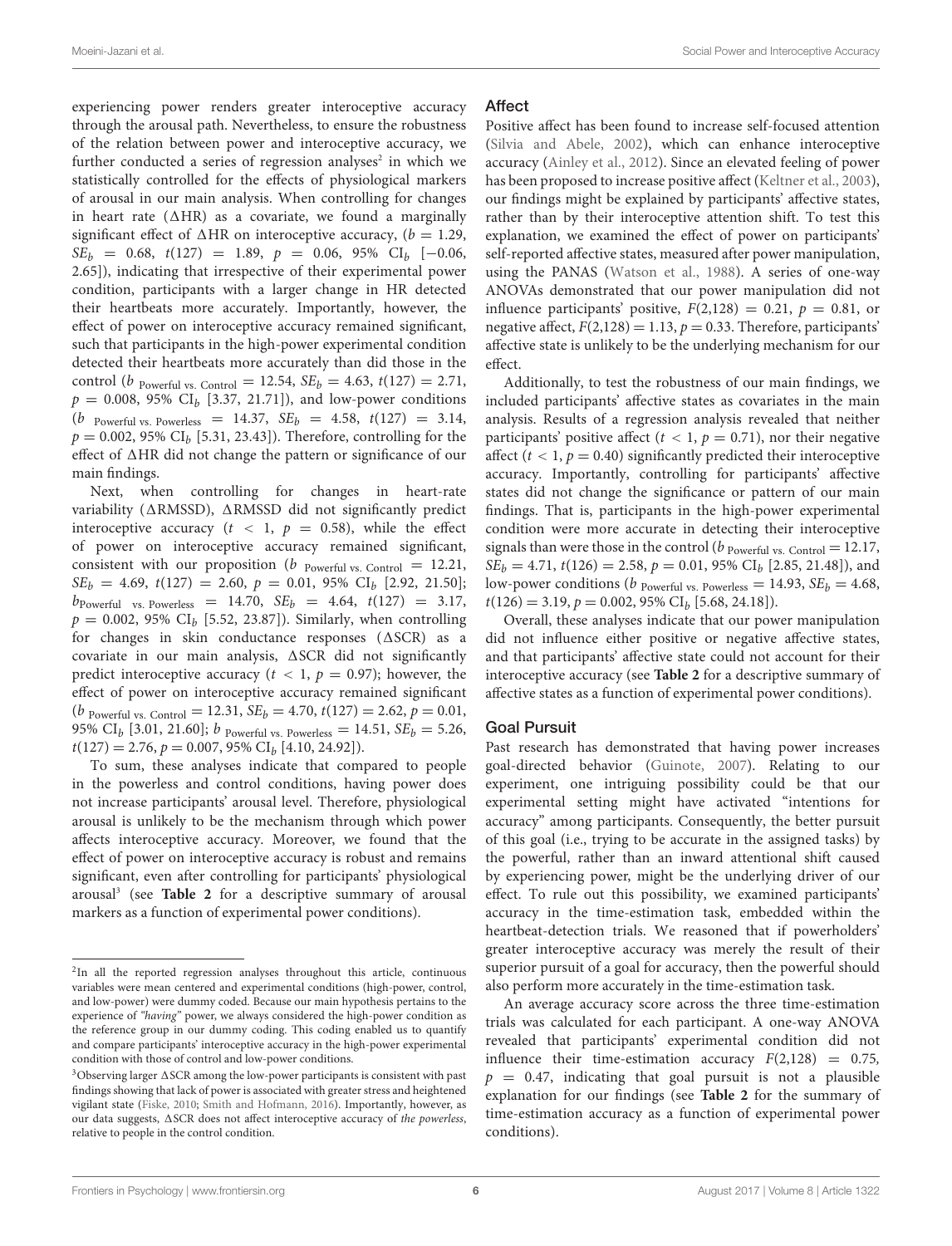experiencing power renders greater interoceptive accuracy through the arousal path. Nevertheless, to ensure the robustness of the relation between power and interoceptive accuracy, we further conducted a series of regression analyses<sup>[2](#page-5-0)</sup> in which we statistically controlled for the effects of physiological markers of arousal in our main analysis. When controlling for changes in heart rate ( $\triangle$ HR) as a covariate, we found a marginally significant effect of  $\triangle$ HR on interoceptive accuracy, ( $b = 1.29$ ,  $SE_b = 0.68, t(127) = 1.89, p = 0.06, 95\% \text{ CI}_b [-0.06,$ 2.65]), indicating that irrespective of their experimental power condition, participants with a larger change in HR detected their heartbeats more accurately. Importantly, however, the effect of power on interoceptive accuracy remained significant, such that participants in the high-power experimental condition detected their heartbeats more accurately than did those in the control (*b* Powerful vs. Control = 12.54,  $SE_b = 4.63$ ,  $t(127) = 2.71$ ,  $p = 0.008, 95\% \text{ CI}_b$  [3.37, 21.71]), and low-power conditions (b Powerful vs. Powerless = 14.37,  $SE_b$  = 4.58,  $t(127)$  = 3.14,  $p = 0.002$ , 95% CI<sub>b</sub> [5.31, 23.43]). Therefore, controlling for the effect of  $\triangle$ HR did not change the pattern or significance of our main findings.

Next, when controlling for changes in heart-rate variability ( $\triangle$ RMSSD),  $\triangle$ RMSSD did not significantly predict interoceptive accuracy ( $t < 1$ ,  $p = 0.58$ ), while the effect of power on interoceptive accuracy remained significant, consistent with our proposition ( $b$  Powerful vs. Control = 12.21,  $SE_b = 4.69, t(127) = 2.60, p = 0.01, 95\% \text{ CI}_b [2.92, 21.50];$  $b_{\text{Powerful}}$  vs. Powerless = 14.70,  $SE_b$  = 4.64,  $t(127)$  = 3.17,  $p = 0.002$ , 95% CI<sub>b</sub> [5.52, 23.87]). Similarly, when controlling for changes in skin conductance responses  $(\triangle SCR)$  as a covariate in our main analysis,  $\triangle$ SCR did not significantly predict interoceptive accuracy ( $t < 1$ ,  $p = 0.97$ ); however, the effect of power on interoceptive accuracy remained significant (*b* Powerful vs. Control = 12.31,  $SE_b = 4.70$ ,  $t(127) = 2.62$ ,  $p = 0.01$ , 95% CI<sub>b</sub> [3.01, 21.60]; b <sub>Powerful vs. Powerless = 14.51,  $SE_b = 5.26$ ,</sub>  $t(127) = 2.76, p = 0.007, 95\% \text{ CI}_b [4.10, 24.92]).$ 

To sum, these analyses indicate that compared to people in the powerless and control conditions, having power does not increase participants' arousal level. Therefore, physiological arousal is unlikely to be the mechanism through which power affects interoceptive accuracy. Moreover, we found that the effect of power on interoceptive accuracy is robust and remains significant, even after controlling for participants' physiological arousal[3](#page-5-1) (see **[Table 2](#page-6-0)** for a descriptive summary of arousal markers as a function of experimental power conditions).

#### Affect

Positive affect has been found to increase self-focused attention [\(Silvia and Abele,](#page-11-23) [2002\)](#page-11-23), which can enhance interoceptive accuracy [\(Ainley et al.,](#page-10-33) [2012\)](#page-10-33). Since an elevated feeling of power has been proposed to increase positive affect [\(Keltner et al.,](#page-10-13) [2003\)](#page-10-13), our findings might be explained by participants' affective states, rather than by their interoceptive attention shift. To test this explanation, we examined the effect of power on participants' self-reported affective states, measured after power manipulation, using the PANAS [\(Watson et al.,](#page-11-19) [1988\)](#page-11-19). A series of one-way ANOVAs demonstrated that our power manipulation did not influence participants' positive,  $F(2,128) = 0.21$ ,  $p = 0.81$ , or negative affect,  $F(2,128) = 1.13$ ,  $p = 0.33$ . Therefore, participants' affective state is unlikely to be the underlying mechanism for our effect.

Additionally, to test the robustness of our main findings, we included participants' affective states as covariates in the main analysis. Results of a regression analysis revealed that neither participants' positive affect ( $t < 1$ ,  $p = 0.71$ ), nor their negative affect ( $t < 1$ ,  $p = 0.40$ ) significantly predicted their interoceptive accuracy. Importantly, controlling for participants' affective states did not change the significance or pattern of our main findings. That is, participants in the high-power experimental condition were more accurate in detecting their interoceptive signals than were those in the control ( $b$   $_{\text{Powerful vs. Control}} = 12.17$ ,  $SE_b = 4.71$ ,  $t(126) = 2.58$ ,  $p = 0.01$ , 95%  $CI_b$  [2.85, 21.48]), and low-power conditions (b Powerful vs. Powerless = 14.93,  $SE_b = 4.68$ ,  $t(126) = 3.19, p = 0.002, 95\% \text{ CI}_b [5.68, 24.18].$ 

Overall, these analyses indicate that our power manipulation did not influence either positive or negative affective states, and that participants' affective state could not account for their interoceptive accuracy (see **[Table 2](#page-6-0)** for a descriptive summary of affective states as a function of experimental power conditions).

### Goal Pursuit

Past research has demonstrated that having power increases goal-directed behavior [\(Guinote,](#page-10-28) [2007\)](#page-10-28). Relating to our experiment, one intriguing possibility could be that our experimental setting might have activated "intentions for accuracy" among participants. Consequently, the better pursuit of this goal (i.e., trying to be accurate in the assigned tasks) by the powerful, rather than an inward attentional shift caused by experiencing power, might be the underlying driver of our effect. To rule out this possibility, we examined participants' accuracy in the time-estimation task, embedded within the heartbeat-detection trials. We reasoned that if powerholders' greater interoceptive accuracy was merely the result of their superior pursuit of a goal for accuracy, then the powerful should also perform more accurately in the time-estimation task.

An average accuracy score across the three time-estimation trials was calculated for each participant. A one-way ANOVA revealed that participants' experimental condition did not influence their time-estimation accuracy  $F(2,128) = 0.75$ ,  $p = 0.47$ , indicating that goal pursuit is not a plausible explanation for our findings (see **[Table 2](#page-6-0)** for the summary of time-estimation accuracy as a function of experimental power conditions).

<span id="page-5-0"></span><sup>&</sup>lt;sup>2</sup>In all the reported regression analyses throughout this article, continuous variables were mean centered and experimental conditions (high-power, control, and low-power) were dummy coded. Because our main hypothesis pertains to the experience of "having" power, we always considered the high-power condition as the reference group in our dummy coding. This coding enabled us to quantify and compare participants' interoceptive accuracy in the high-power experimental condition with those of control and low-power conditions.

<span id="page-5-1"></span> $3$ Observing larger  $\triangle$ SCR among the low-power participants is consistent with past findings showing that lack of power is associated with greater stress and heightened vigilant state [\(Fiske,](#page-10-9) [2010;](#page-10-9) [Smith and Hofmann,](#page-11-22) [2016\)](#page-11-22). Importantly, however, as our data suggests,  $\Delta \text{SCR}$  does not affect interoceptive accuracy of the powerless, relative to people in the control condition.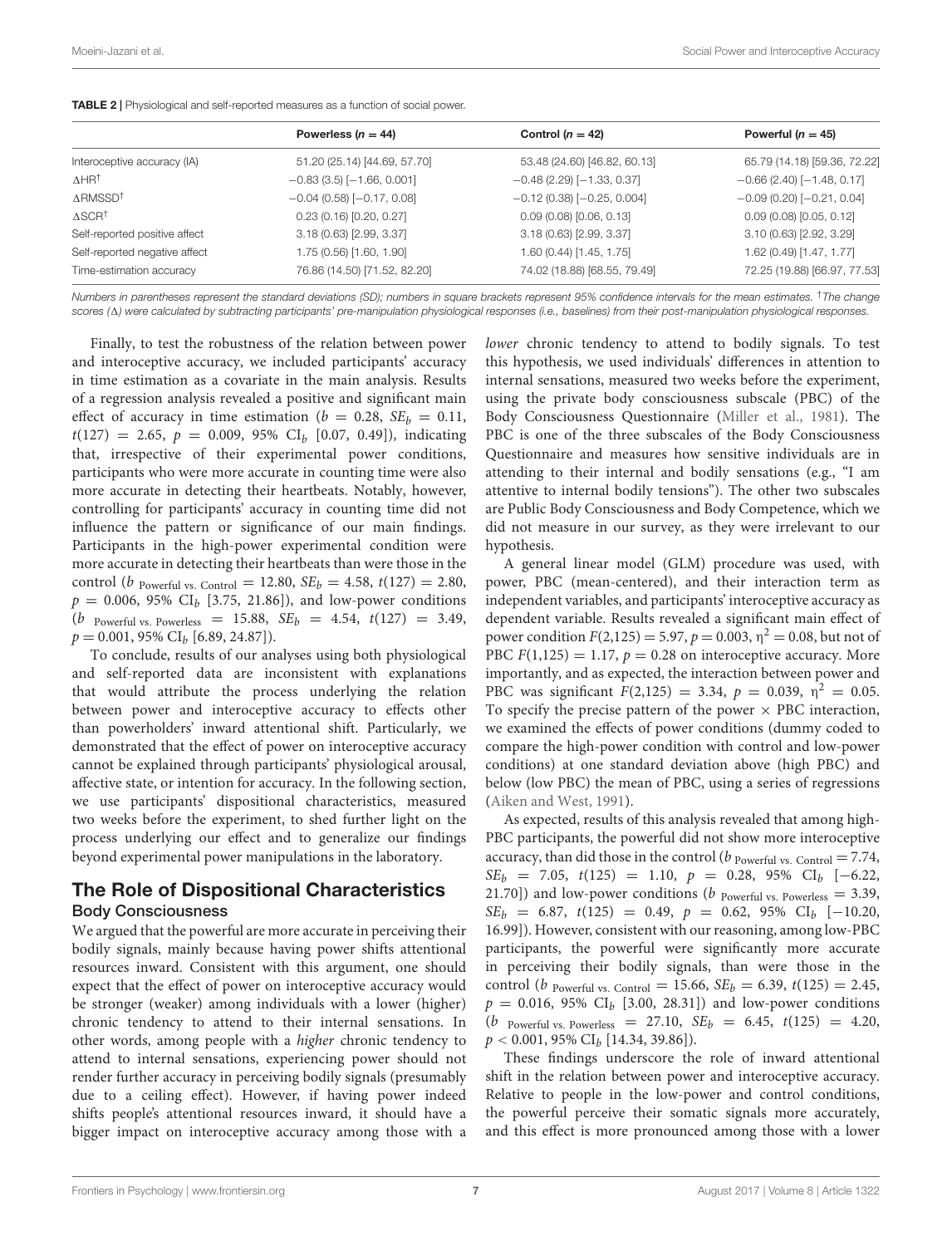|                                | Powerless $(n = 44)$             | Control ( $n = 42$ )              | Powerful ( $n = 45$ )            |
|--------------------------------|----------------------------------|-----------------------------------|----------------------------------|
| Interoceptive accuracy (IA)    | 51.20 (25.14) [44.69, 57.70]     | 53.48 (24.60) [46.82, 60.13]      | 65.79 (14.18) [59.36, 72.22]     |
| $\Delta H H^{\dagger}$         | $-0.83(3.5)$ [ $-1.66, 0.001$ ]  | $-0.48(2.29)$ [ $-1.33, 0.37$ ]   | $-0.66$ (2.40) [ $-1.48$ , 0.17] |
| $\triangle$ RMSSD <sup>†</sup> | $-0.04$ (0.58) [ $-0.17$ , 0.08] | $-0.12$ (0.38) [ $-0.25$ , 0.004] | $-0.09$ (0.20) [ $-0.21$ , 0.04] |
| $\triangle$ SCR <sup>†</sup>   | $0.23$ (0.16) [0.20, 0.27]       | 0.09(0.08)[0.06, 0.13]            | 0.09(0.08)[0.05, 0.12]           |
| Self-reported positive affect  | 3.18(0.63)[2.99, 3.37]           | 3.18 (0.63) [2.99, 3.37]          | 3.10(0.63)[2.92, 3.29]           |
| Self-reported negative affect  | 1.75 (0.56) [1.60, 1.90]         | 1.60 (0.44) [1.45, 1.75]          | 1.62 (0.49) [1.47, 1.77]         |
| Time-estimation accuracy       | 76.86 (14.50) [71.52, 82.20]     | 74.02 (18.88) [68.55, 79.49]      | 72.25 (19.88) [66.97, 77.53]     |
|                                |                                  |                                   |                                  |

<span id="page-6-0"></span>TABLE 2 | Physiological and self-reported measures as a function of social power.

Numbers in parentheses represent the standard deviations (SD); numbers in square brackets represent 95% confidence intervals for the mean estimates. <sup>†</sup>The change scores (A) were calculated by subtracting participants' pre-manipulation physiological responses (i.e., baselines) from their post-manipulation physiological responses.

Finally, to test the robustness of the relation between power and interoceptive accuracy, we included participants' accuracy in time estimation as a covariate in the main analysis. Results of a regression analysis revealed a positive and significant main effect of accuracy in time estimation ( $b = 0.28$ ,  $SE<sub>b</sub> = 0.11$ ,  $t(127) = 2.65, p = 0.009, 95\% \text{ CI}_b [0.07, 0.49]),$  indicating that, irrespective of their experimental power conditions, participants who were more accurate in counting time were also more accurate in detecting their heartbeats. Notably, however, controlling for participants' accuracy in counting time did not influence the pattern or significance of our main findings. Participants in the high-power experimental condition were more accurate in detecting their heartbeats than were those in the control (*b* Powerful vs. Control = 12.80,  $SE_b = 4.58$ ,  $t(127) = 2.80$ ,  $p = 0.006, 95\% \text{ CI}_b [3.75, 21.86]$ , and low-power conditions (*b* Powerful vs. Powerless = 15.88,  $SE_b$  = 4.54,  $t(127)$  = 3.49,  $p = 0.001, 95\% \text{ CI}_b [6.89, 24.87]$ .

To conclude, results of our analyses using both physiological and self-reported data are inconsistent with explanations that would attribute the process underlying the relation between power and interoceptive accuracy to effects other than powerholders' inward attentional shift. Particularly, we demonstrated that the effect of power on interoceptive accuracy cannot be explained through participants' physiological arousal, affective state, or intention for accuracy. In the following section, we use participants' dispositional characteristics, measured two weeks before the experiment, to shed further light on the process underlying our effect and to generalize our findings beyond experimental power manipulations in the laboratory.

## The Role of Dispositional Characteristics Body Consciousness

We argued that the powerful are more accurate in perceiving their bodily signals, mainly because having power shifts attentional resources inward. Consistent with this argument, one should expect that the effect of power on interoceptive accuracy would be stronger (weaker) among individuals with a lower (higher) chronic tendency to attend to their internal sensations. In other words, among people with a higher chronic tendency to attend to internal sensations, experiencing power should not render further accuracy in perceiving bodily signals (presumably due to a ceiling effect). However, if having power indeed shifts people's attentional resources inward, it should have a bigger impact on interoceptive accuracy among those with a

lower chronic tendency to attend to bodily signals. To test this hypothesis, we used individuals' differences in attention to internal sensations, measured two weeks before the experiment, using the private body consciousness subscale (PBC) of the Body Consciousness Questionnaire [\(Miller et al.,](#page-11-18) [1981\)](#page-11-18). The PBC is one of the three subscales of the Body Consciousness Questionnaire and measures how sensitive individuals are in attending to their internal and bodily sensations (e.g., "I am attentive to internal bodily tensions"). The other two subscales are Public Body Consciousness and Body Competence, which we did not measure in our survey, as they were irrelevant to our hypothesis.

A general linear model (GLM) procedure was used, with power, PBC (mean-centered), and their interaction term as independent variables, and participants' interoceptive accuracy as dependent variable. Results revealed a significant main effect of power condition  $F(2,125) = 5.97$ ,  $p = 0.003$ ,  $\eta^2 = 0.08$ , but not of PBC  $F(1,125) = 1.17$ ,  $p = 0.28$  on interoceptive accuracy. More importantly, and as expected, the interaction between power and PBC was significant  $F(2,125) = 3.34$ ,  $p = 0.039$ ,  $\eta^2 = 0.05$ . To specify the precise pattern of the power  $\times$  PBC interaction, we examined the effects of power conditions (dummy coded to compare the high-power condition with control and low-power conditions) at one standard deviation above (high PBC) and below (low PBC) the mean of PBC, using a series of regressions [\(Aiken and West,](#page-10-34) [1991\)](#page-10-34).

As expected, results of this analysis revealed that among high-PBC participants, the powerful did not show more interoceptive accuracy, than did those in the control ( $b$   $_{\text{Powerful vs. Control}} = 7.74$ ,  $SE_b = 7.05, t(125) = 1.10, p = 0.28, 95\% \text{ CI}_b [-6.22,$ 21.70]) and low-power conditions ( $b$  <sub>Powerful vs. Powerless</sub> = 3.39,  $SE_b = 6.87, t(125) = 0.49, p = 0.62, 95\% \text{ CI}_b [-10.20,$ 16.99]). However, consistent with our reasoning, among low-PBC participants, the powerful were significantly more accurate in perceiving their bodily signals, than were those in the control (*b* Powerful vs. Control = 15.66,  $SE_b = 6.39$ ,  $t(125) = 2.45$ ,  $p = 0.016, 95\% \text{ CI}_{b}$  [3.00, 28.31]) and low-power conditions (*b* Powerful vs. Powerless = 27.10,  $SE_b$  = 6.45,  $t(125)$  = 4.20,  $p < 0.001$ , 95% CI<sub>b</sub> [14.34, 39.86]).

These findings underscore the role of inward attentional shift in the relation between power and interoceptive accuracy. Relative to people in the low-power and control conditions, the powerful perceive their somatic signals more accurately, and this effect is more pronounced among those with a lower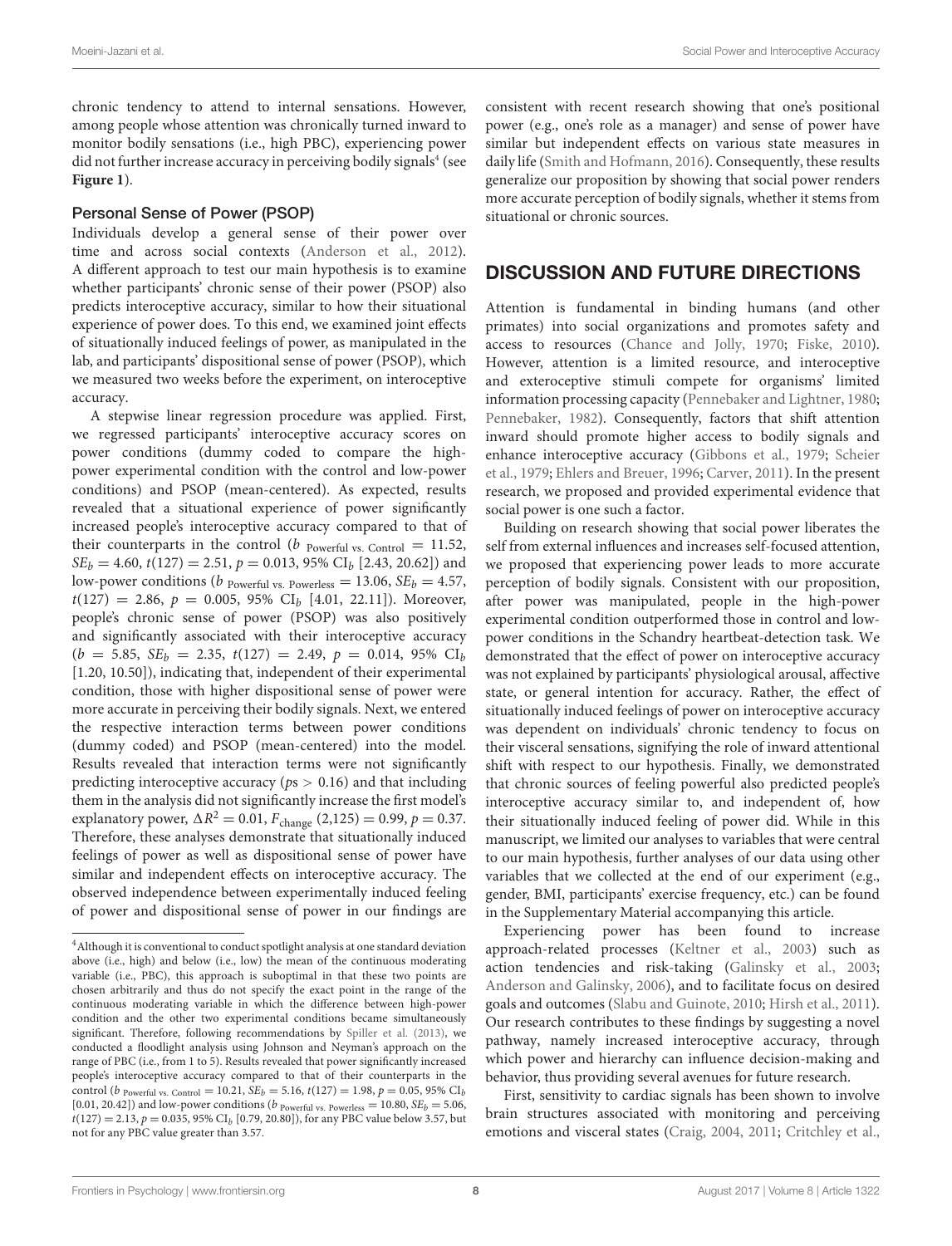chronic tendency to attend to internal sensations. However, among people whose attention was chronically turned inward to monitor bodily sensations (i.e., high PBC), experiencing power did not further increase accuracy in perceiving bodily signals<sup>[4](#page-7-0)</sup> (see **[Figure 1](#page-8-0)**).

#### Personal Sense of Power (PSOP)

Individuals develop a general sense of their power over time and across social contexts [\(Anderson et al.,](#page-10-25) [2012\)](#page-10-25). A different approach to test our main hypothesis is to examine whether participants' chronic sense of their power (PSOP) also predicts interoceptive accuracy, similar to how their situational experience of power does. To this end, we examined joint effects of situationally induced feelings of power, as manipulated in the lab, and participants' dispositional sense of power (PSOP), which we measured two weeks before the experiment, on interoceptive accuracy.

A stepwise linear regression procedure was applied. First, we regressed participants' interoceptive accuracy scores on power conditions (dummy coded to compare the highpower experimental condition with the control and low-power conditions) and PSOP (mean-centered). As expected, results revealed that a situational experience of power significantly increased people's interoceptive accuracy compared to that of their counterparts in the control ( $b$  Powerful vs. Control = 11.52,  $SE_b = 4.60$ ,  $t(127) = 2.51$ ,  $p = 0.013$ , 95% CI<sub>b</sub> [2.43, 20.62]) and low-power conditions (b Powerful vs. Powerless = 13.06,  $SE_b = 4.57$ ,  $t(127) = 2.86, p = 0.005, 95\% \text{ CI}_b [4.01, 22.11]$ . Moreover, people's chronic sense of power (PSOP) was also positively and significantly associated with their interoceptive accuracy  $(b = 5.85, SE_b = 2.35, t(127) = 2.49, p = 0.014, 95\% \text{ CI}_b$ [1.20, 10.50]), indicating that, independent of their experimental condition, those with higher dispositional sense of power were more accurate in perceiving their bodily signals. Next, we entered the respective interaction terms between power conditions (dummy coded) and PSOP (mean-centered) into the model. Results revealed that interaction terms were not significantly predicting interoceptive accuracy ( $ps > 0.16$ ) and that including them in the analysis did not significantly increase the first model's explanatory power,  $\Delta R^2 = 0.01$ ,  $F_{change}$  (2,125) = 0.99,  $p = 0.37$ . Therefore, these analyses demonstrate that situationally induced feelings of power as well as dispositional sense of power have similar and independent effects on interoceptive accuracy. The observed independence between experimentally induced feeling of power and dispositional sense of power in our findings are

consistent with recent research showing that one's positional power (e.g., one's role as a manager) and sense of power have similar but independent effects on various state measures in daily life [\(Smith and Hofmann,](#page-11-22) [2016\)](#page-11-22). Consequently, these results generalize our proposition by showing that social power renders more accurate perception of bodily signals, whether it stems from situational or chronic sources.

## DISCUSSION AND FUTURE DIRECTIONS

Attention is fundamental in binding humans (and other primates) into social organizations and promotes safety and access to resources [\(Chance and Jolly,](#page-10-35) [1970;](#page-10-35) [Fiske,](#page-10-9) [2010\)](#page-10-9). However, attention is a limited resource, and interoceptive and exteroceptive stimuli compete for organisms' limited information processing capacity [\(Pennebaker and Lightner,](#page-11-9) [1980;](#page-11-9) [Pennebaker,](#page-11-10) [1982\)](#page-11-10). Consequently, factors that shift attention inward should promote higher access to bodily signals and enhance interoceptive accuracy [\(Gibbons et al.,](#page-10-19) [1979;](#page-10-19) [Scheier](#page-11-13) [et al.,](#page-11-13) [1979;](#page-11-13) [Ehlers and Breuer,](#page-10-20) [1996;](#page-10-20) [Carver,](#page-10-21) [2011\)](#page-10-21). In the present research, we proposed and provided experimental evidence that social power is one such a factor.

Building on research showing that social power liberates the self from external influences and increases self-focused attention, we proposed that experiencing power leads to more accurate perception of bodily signals. Consistent with our proposition, after power was manipulated, people in the high-power experimental condition outperformed those in control and lowpower conditions in the Schandry heartbeat-detection task. We demonstrated that the effect of power on interoceptive accuracy was not explained by participants' physiological arousal, affective state, or general intention for accuracy. Rather, the effect of situationally induced feelings of power on interoceptive accuracy was dependent on individuals' chronic tendency to focus on their visceral sensations, signifying the role of inward attentional shift with respect to our hypothesis. Finally, we demonstrated that chronic sources of feeling powerful also predicted people's interoceptive accuracy similar to, and independent of, how their situationally induced feeling of power did. While in this manuscript, we limited our analyses to variables that were central to our main hypothesis, further analyses of our data using other variables that we collected at the end of our experiment (e.g., gender, BMI, participants' exercise frequency, etc.) can be found in the Supplementary Material accompanying this article.

Experiencing power has been found to increase approach-related processes [\(Keltner et al.,](#page-10-13) [2003\)](#page-10-13) such as action tendencies and risk-taking [\(Galinsky et al.,](#page-10-27) [2003;](#page-10-27) [Anderson and Galinsky,](#page-10-36) [2006\)](#page-10-36), and to facilitate focus on desired goals and outcomes [\(Slabu and Guinote,](#page-11-25) [2010;](#page-11-25) [Hirsh et al.,](#page-10-37) [2011\)](#page-10-37). Our research contributes to these findings by suggesting a novel pathway, namely increased interoceptive accuracy, through which power and hierarchy can influence decision-making and behavior, thus providing several avenues for future research.

First, sensitivity to cardiac signals has been shown to involve brain structures associated with monitoring and perceiving emotions and visceral states [\(Craig,](#page-10-4) [2004,](#page-10-4) [2011;](#page-10-38) [Critchley et al.,](#page-10-23)

<span id="page-7-0"></span><sup>&</sup>lt;sup>4</sup> Although it is conventional to conduct spotlight analysis at one standard deviation above (i.e., high) and below (i.e., low) the mean of the continuous moderating variable (i.e., PBC), this approach is suboptimal in that these two points are chosen arbitrarily and thus do not specify the exact point in the range of the continuous moderating variable in which the difference between high-power condition and the other two experimental conditions became simultaneously significant. Therefore, following recommendations by [Spiller et al.](#page-11-24) [\(2013\)](#page-11-24), we conducted a floodlight analysis using Johnson and Neyman's approach on the range of PBC (i.e., from 1 to 5). Results revealed that power significantly increased people's interoceptive accuracy compared to that of their counterparts in the control (*b* Powerful vs. Control = 10.21,  $SE_b = 5.16$ ,  $t(127) = 1.98$ ,  $p = 0.05$ , 95% CI<sub>b</sub> [0.01, 20.42]) and low-power conditions ( $b$  <sub>Powerful vs. Powerless</sub> = 10.80,  $SE_b$  = 5.06,  $t(127) = 2.13, p = 0.035, 95\% \text{ CI}_b [0.79, 20.80]),$  for any PBC value below 3.57, but not for any PBC value greater than 3.57.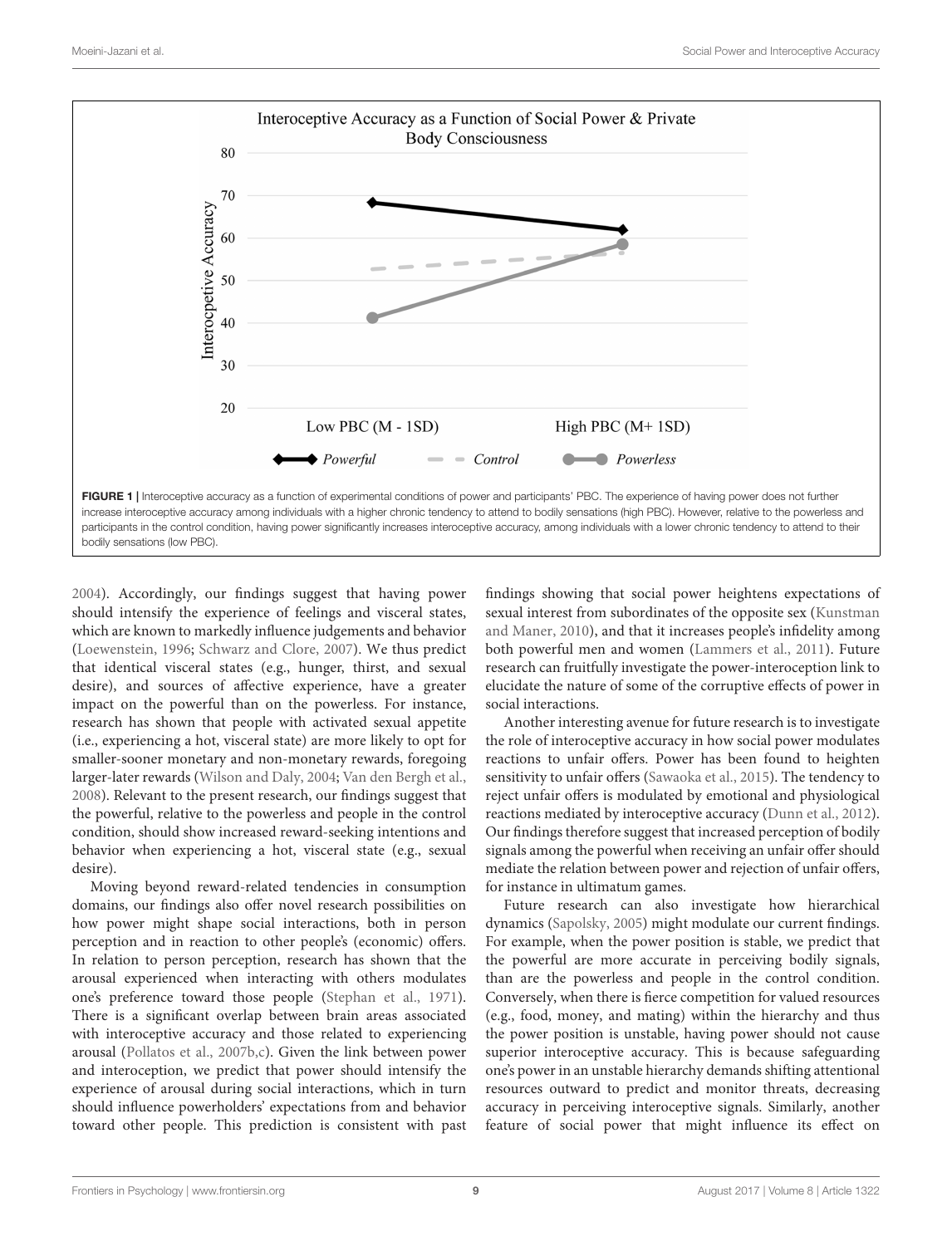

<span id="page-8-0"></span>[2004\)](#page-10-23). Accordingly, our findings suggest that having power should intensify the experience of feelings and visceral states, which are known to markedly influence judgements and behavior [\(Loewenstein,](#page-11-26) [1996;](#page-11-26) [Schwarz and Clore,](#page-11-27) [2007\)](#page-11-27). We thus predict that identical visceral states (e.g., hunger, thirst, and sexual desire), and sources of affective experience, have a greater impact on the powerful than on the powerless. For instance, research has shown that people with activated sexual appetite (i.e., experiencing a hot, visceral state) are more likely to opt for smaller-sooner monetary and non-monetary rewards, foregoing larger-later rewards [\(Wilson and Daly,](#page-11-28) [2004;](#page-11-28) [Van den Bergh et al.,](#page-11-29) [2008\)](#page-11-29). Relevant to the present research, our findings suggest that the powerful, relative to the powerless and people in the control condition, should show increased reward-seeking intentions and behavior when experiencing a hot, visceral state (e.g., sexual desire).

Moving beyond reward-related tendencies in consumption domains, our findings also offer novel research possibilities on how power might shape social interactions, both in person perception and in reaction to other people's (economic) offers. In relation to person perception, research has shown that the arousal experienced when interacting with others modulates one's preference toward those people [\(Stephan et al.,](#page-11-30) [1971\)](#page-11-30). There is a significant overlap between brain areas associated with interoceptive accuracy and those related to experiencing arousal [\(Pollatos et al.,](#page-11-20) [2007b](#page-11-20)[,c\)](#page-11-16). Given the link between power and interoception, we predict that power should intensify the experience of arousal during social interactions, which in turn should influence powerholders' expectations from and behavior toward other people. This prediction is consistent with past findings showing that social power heightens expectations of sexual interest from subordinates of the opposite sex [\(Kunstman](#page-10-39) [and Maner,](#page-10-39) [2010\)](#page-10-39), and that it increases people's infidelity among both powerful men and women [\(Lammers et al.,](#page-10-40) [2011\)](#page-10-40). Future research can fruitfully investigate the power-interoception link to elucidate the nature of some of the corruptive effects of power in social interactions.

Another interesting avenue for future research is to investigate the role of interoceptive accuracy in how social power modulates reactions to unfair offers. Power has been found to heighten sensitivity to unfair offers [\(Sawaoka et al.,](#page-11-31) [2015\)](#page-11-31). The tendency to reject unfair offers is modulated by emotional and physiological reactions mediated by interoceptive accuracy [\(Dunn et al.,](#page-10-41) [2012\)](#page-10-41). Our findings therefore suggest that increased perception of bodily signals among the powerful when receiving an unfair offer should mediate the relation between power and rejection of unfair offers, for instance in ultimatum games.

Future research can also investigate how hierarchical dynamics [\(Sapolsky,](#page-11-32) [2005\)](#page-11-32) might modulate our current findings. For example, when the power position is stable, we predict that the powerful are more accurate in perceiving bodily signals, than are the powerless and people in the control condition. Conversely, when there is fierce competition for valued resources (e.g., food, money, and mating) within the hierarchy and thus the power position is unstable, having power should not cause superior interoceptive accuracy. This is because safeguarding one's power in an unstable hierarchy demands shifting attentional resources outward to predict and monitor threats, decreasing accuracy in perceiving interoceptive signals. Similarly, another feature of social power that might influence its effect on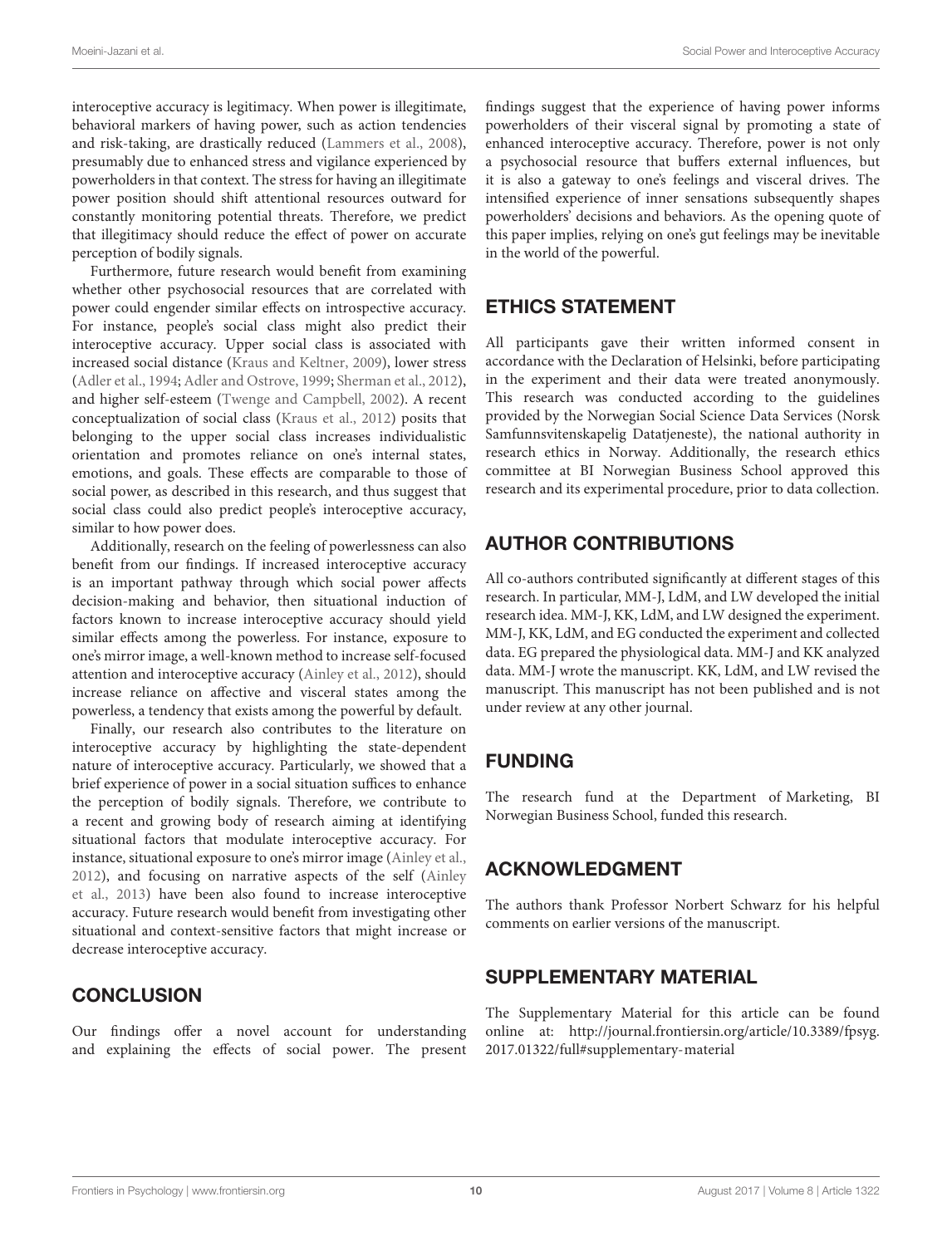interoceptive accuracy is legitimacy. When power is illegitimate, behavioral markers of having power, such as action tendencies and risk-taking, are drastically reduced [\(Lammers et al.,](#page-10-42) [2008\)](#page-10-42), presumably due to enhanced stress and vigilance experienced by powerholders in that context. The stress for having an illegitimate power position should shift attentional resources outward for constantly monitoring potential threats. Therefore, we predict that illegitimacy should reduce the effect of power on accurate perception of bodily signals.

Furthermore, future research would benefit from examining whether other psychosocial resources that are correlated with power could engender similar effects on introspective accuracy. For instance, people's social class might also predict their interoceptive accuracy. Upper social class is associated with increased social distance [\(Kraus and Keltner,](#page-10-43) [2009\)](#page-10-43), lower stress [\(Adler et al.,](#page-10-44) [1994;](#page-10-44) [Adler and Ostrove,](#page-10-45) [1999;](#page-10-45) [Sherman et al.,](#page-11-33) [2012\)](#page-11-33), and higher self-esteem [\(Twenge and Campbell,](#page-11-34) [2002\)](#page-11-34). A recent conceptualization of social class [\(Kraus et al.,](#page-10-46) [2012\)](#page-10-46) posits that belonging to the upper social class increases individualistic orientation and promotes reliance on one's internal states, emotions, and goals. These effects are comparable to those of social power, as described in this research, and thus suggest that social class could also predict people's interoceptive accuracy, similar to how power does.

Additionally, research on the feeling of powerlessness can also benefit from our findings. If increased interoceptive accuracy is an important pathway through which social power affects decision-making and behavior, then situational induction of factors known to increase interoceptive accuracy should yield similar effects among the powerless. For instance, exposure to one's mirror image, a well-known method to increase self-focused attention and interoceptive accuracy [\(Ainley et al.,](#page-10-33) [2012\)](#page-10-33), should increase reliance on affective and visceral states among the powerless, a tendency that exists among the powerful by default.

Finally, our research also contributes to the literature on interoceptive accuracy by highlighting the state-dependent nature of interoceptive accuracy. Particularly, we showed that a brief experience of power in a social situation suffices to enhance the perception of bodily signals. Therefore, we contribute to a recent and growing body of research aiming at identifying situational factors that modulate interoceptive accuracy. For instance, situational exposure to one's mirror image [\(Ainley et al.,](#page-10-33) [2012\)](#page-10-33), and focusing on narrative aspects of the self [\(Ainley](#page-10-47) [et al.,](#page-10-47) [2013\)](#page-10-47) have been also found to increase interoceptive accuracy. Future research would benefit from investigating other situational and context-sensitive factors that might increase or decrease interoceptive accuracy.

## **CONCLUSION**

Our findings offer a novel account for understanding and explaining the effects of social power. The present findings suggest that the experience of having power informs powerholders of their visceral signal by promoting a state of enhanced interoceptive accuracy. Therefore, power is not only a psychosocial resource that buffers external influences, but it is also a gateway to one's feelings and visceral drives. The intensified experience of inner sensations subsequently shapes powerholders' decisions and behaviors. As the opening quote of this paper implies, relying on one's gut feelings may be inevitable in the world of the powerful.

## ETHICS STATEMENT

All participants gave their written informed consent in accordance with the Declaration of Helsinki, before participating in the experiment and their data were treated anonymously. This research was conducted according to the guidelines provided by the Norwegian Social Science Data Services (Norsk Samfunnsvitenskapelig Datatjeneste), the national authority in research ethics in Norway. Additionally, the research ethics committee at BI Norwegian Business School approved this research and its experimental procedure, prior to data collection.

# AUTHOR CONTRIBUTIONS

All co-authors contributed significantly at different stages of this research. In particular, MM-J, LdM, and LW developed the initial research idea. MM-J, KK, LdM, and LW designed the experiment. MM-J, KK, LdM, and EG conducted the experiment and collected data. EG prepared the physiological data. MM-J and KK analyzed data. MM-J wrote the manuscript. KK, LdM, and LW revised the manuscript. This manuscript has not been published and is not under review at any other journal.

# FUNDING

The research fund at the Department of Marketing, BI Norwegian Business School, funded this research.

# ACKNOWLEDGMENT

The authors thank Professor Norbert Schwarz for his helpful comments on earlier versions of the manuscript.

# SUPPLEMENTARY MATERIAL

The Supplementary Material for this article can be found online at: [http://journal.frontiersin.org/article/10.3389/fpsyg.](http://journal.frontiersin.org/article/10.3389/fpsyg.2017.01322/full#supplementary-material) [2017.01322/full#supplementary-material](http://journal.frontiersin.org/article/10.3389/fpsyg.2017.01322/full#supplementary-material)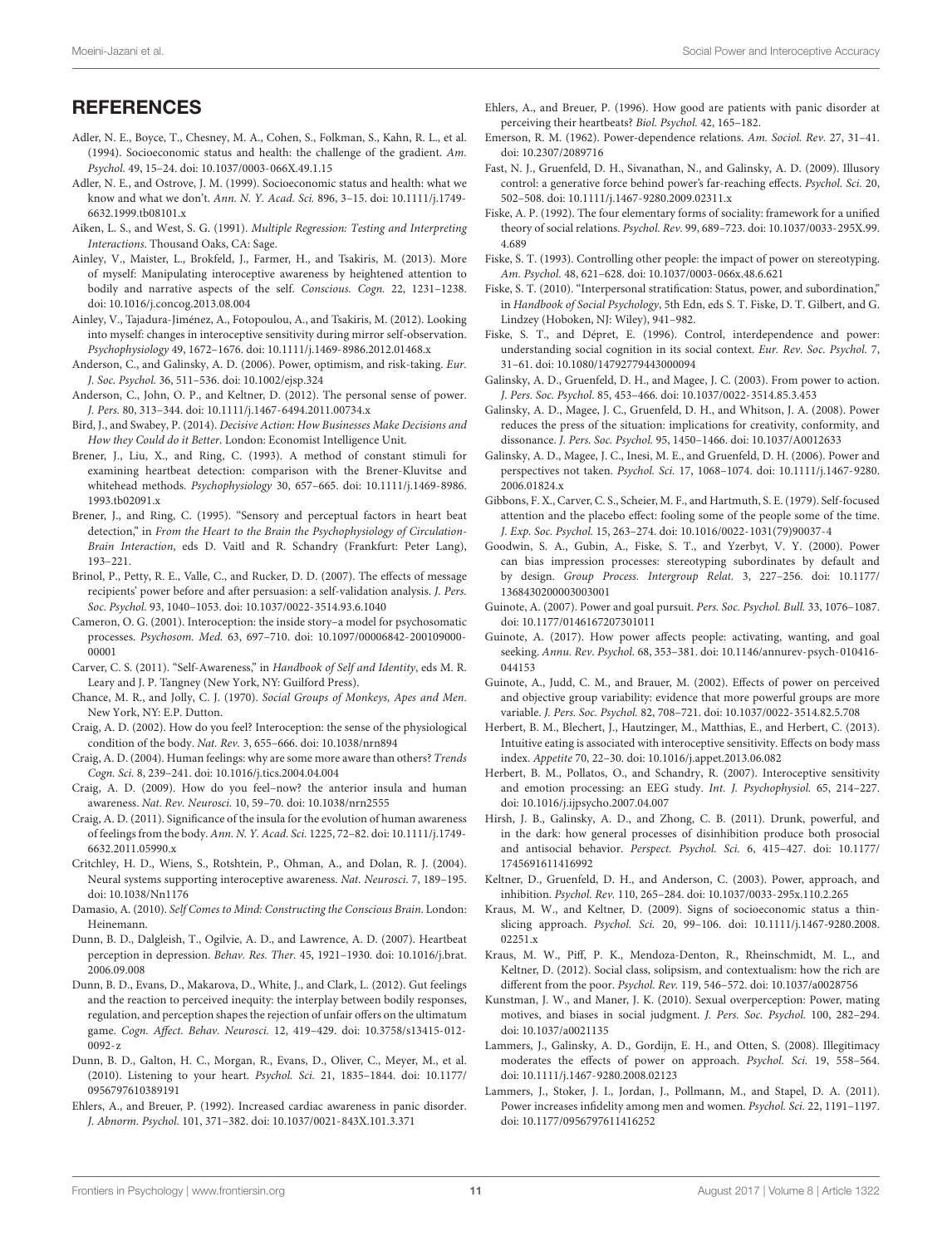## **REFERENCES**

- <span id="page-10-44"></span>Adler, N. E., Boyce, T., Chesney, M. A., Cohen, S., Folkman, S., Kahn, R. L., et al. (1994). Socioeconomic status and health: the challenge of the gradient. Am. Psychol. 49, 15–24. [doi: 10.1037/0003-066X.49.1.15](https://doi.org/10.1037/0003-066X.49.1.15)
- <span id="page-10-45"></span>Adler, N. E., and Ostrove, J. M. (1999). Socioeconomic status and health: what we know and what we don't. Ann. N. Y. Acad. Sci. 896, 3–15. [doi: 10.1111/j.1749-](https://doi.org/10.1111/j.1749-6632.1999.tb08101.x) [6632.1999.tb08101.x](https://doi.org/10.1111/j.1749-6632.1999.tb08101.x)
- <span id="page-10-34"></span>Aiken, L. S., and West, S. G. (1991). Multiple Regression: Testing and Interpreting Interactions. Thousand Oaks, CA: Sage.
- <span id="page-10-47"></span>Ainley, V., Maister, L., Brokfeld, J., Farmer, H., and Tsakiris, M. (2013). More of myself: Manipulating interoceptive awareness by heightened attention to bodily and narrative aspects of the self. Conscious. Cogn. 22, 1231–1238. [doi: 10.1016/j.concog.2013.08.004](https://doi.org/10.1016/j.concog.2013.08.004)
- <span id="page-10-33"></span>Ainley, V., Tajadura-Jiménez, A., Fotopoulou, A., and Tsakiris, M. (2012). Looking into myself: changes in interoceptive sensitivity during mirror self-observation. Psychophysiology 49, 1672–1676. [doi: 10.1111/j.1469-8986.2012.01468.x](https://doi.org/10.1111/j.1469-8986.2012.01468.x)
- <span id="page-10-36"></span>Anderson, C., and Galinsky, A. D. (2006). Power, optimism, and risk-taking. Eur. J. Soc. Psychol. 36, 511–536. [doi: 10.1002/ejsp.324](https://doi.org/10.1002/ejsp.324)
- <span id="page-10-25"></span>Anderson, C., John, O. P., and Keltner, D. (2012). The personal sense of power. J. Pers. 80, 313–344. [doi: 10.1111/j.1467-6494.2011.00734.x](https://doi.org/10.1111/j.1467-6494.2011.00734.x)
- <span id="page-10-0"></span>Bird, J., and Swabey, P. (2014). Decisive Action: How Businesses Make Decisions and How they Could do it Better. London: Economist Intelligence Unit.
- <span id="page-10-22"></span>Brener, J., Liu, X., and Ring, C. (1993). A method of constant stimuli for examining heartbeat detection: comparison with the Brener-Kluvitse and whitehead methods. Psychophysiology 30, 657–665. [doi: 10.1111/j.1469-8986.](https://doi.org/10.1111/j.1469-8986.1993.tb02091.x) [1993.tb02091.x](https://doi.org/10.1111/j.1469-8986.1993.tb02091.x)
- <span id="page-10-24"></span>Brener, J., and Ring, C. (1995). "Sensory and perceptual factors in heart beat detection," in From the Heart to the Brain the Psychophysiology of Circulation-Brain Interaction, eds D. Vaitl and R. Schandry (Frankfurt: Peter Lang), 193–221.
- <span id="page-10-17"></span>Brinol, P., Petty, R. E., Valle, C., and Rucker, D. D. (2007). The effects of message recipients' power before and after persuasion: a self-validation analysis. J. Pers. Soc. Psychol. 93, 1040–1053. [doi: 10.1037/0022-3514.93.6.1040](https://doi.org/10.1037/0022-3514.93.6.1040)
- <span id="page-10-30"></span>Cameron, O. G. (2001). Interoception: the inside story–a model for psychosomatic processes. Psychosom. Med. 63, 697–710. [doi: 10.1097/00006842-200109000-](https://doi.org/10.1097/00006842-200109000-00001) [00001](https://doi.org/10.1097/00006842-200109000-00001)
- <span id="page-10-21"></span>Carver, C. S. (2011). "Self-Awareness," in Handbook of Self and Identity, eds M. R. Leary and J. P. Tangney (New York, NY: Guilford Press).
- <span id="page-10-35"></span>Chance, M. R., and Jolly, C. J. (1970). Social Groups of Monkeys, Apes and Men. New York, NY: E.P. Dutton.
- <span id="page-10-1"></span>Craig, A. D. (2002). How do you feel? Interoception: the sense of the physiological condition of the body. Nat. Rev. 3, 655–666. [doi: 10.1038/nrn894](https://doi.org/10.1038/nrn894)
- <span id="page-10-4"></span>Craig, A. D. (2004). Human feelings: why are some more aware than others? Trends Cogn. Sci. 8, 239–241. [doi: 10.1016/j.tics.2004.04.004](https://doi.org/10.1016/j.tics.2004.04.004)
- <span id="page-10-2"></span>Craig, A. D. (2009). How do you feel–now? the anterior insula and human awareness. Nat. Rev. Neurosci. 10, 59–70. [doi: 10.1038/nrn2555](https://doi.org/10.1038/nrn2555)
- <span id="page-10-38"></span>Craig, A. D. (2011). Significance of the insula for the evolution of human awareness of feelings from the body. Ann. N. Y. Acad. Sci. 1225, 72–82. [doi: 10.1111/j.1749-](https://doi.org/10.1111/j.1749-6632.2011.05990.x) [6632.2011.05990.x](https://doi.org/10.1111/j.1749-6632.2011.05990.x)
- <span id="page-10-23"></span>Critchley, H. D., Wiens, S., Rotshtein, P., Ohman, A., and Dolan, R. J. (2004). Neural systems supporting interoceptive awareness. Nat. Neurosci. 7, 189–195. [doi: 10.1038/Nn1176](https://doi.org/10.1038/Nn1176)
- <span id="page-10-3"></span>Damasio, A. (2010). Self Comes to Mind: Constructing the Conscious Brain. London: Heinemann.
- <span id="page-10-32"></span>Dunn, B. D., Dalgleish, T., Ogilvie, A. D., and Lawrence, A. D. (2007). Heartbeat perception in depression. Behav. Res. Ther. 45, 1921–1930. [doi: 10.1016/j.brat.](https://doi.org/10.1016/j.brat.2006.09.008) [2006.09.008](https://doi.org/10.1016/j.brat.2006.09.008)
- <span id="page-10-41"></span>Dunn, B. D., Evans, D., Makarova, D., White, J., and Clark, L. (2012). Gut feelings and the reaction to perceived inequity: the interplay between bodily responses, regulation, and perception shapes the rejection of unfair offers on the ultimatum game. Cogn. Affect. Behav. Neurosci. 12, 419–429. [doi: 10.3758/s13415-012-](https://doi.org/10.3758/s13415-012-0092-z) [0092-z](https://doi.org/10.3758/s13415-012-0092-z)
- <span id="page-10-6"></span>Dunn, B. D., Galton, H. C., Morgan, R., Evans, D., Oliver, C., Meyer, M., et al. (2010). Listening to your heart. Psychol. Sci. 21, 1835–1844. [doi: 10.1177/](https://doi.org/10.1177/0956797610389191) [0956797610389191](https://doi.org/10.1177/0956797610389191)
- <span id="page-10-29"></span>Ehlers, A., and Breuer, P. (1992). Increased cardiac awareness in panic disorder. J. Abnorm. Psychol. 101, 371–382. [doi: 10.1037/0021-843X.101.3.371](https://doi.org/10.1037/0021-843X.101.3.371)
- <span id="page-10-20"></span>Ehlers, A., and Breuer, P. (1996). How good are patients with panic disorder at perceiving their heartbeats? Biol. Psychol. 42, 165–182.
- <span id="page-10-10"></span>Emerson, R. M. (1962). Power-dependence relations. Am. Sociol. Rev. 27, 31–41. [doi: 10.2307/2089716](https://doi.org/10.2307/2089716)
- <span id="page-10-18"></span>Fast, N. J., Gruenfeld, D. H., Sivanathan, N., and Galinsky, A. D. (2009). Illusory control: a generative force behind power's far-reaching effects. Psychol. Sci. 20, 502–508. [doi: 10.1111/j.1467-9280.2009.02311.x](https://doi.org/10.1111/j.1467-9280.2009.02311.x)
- <span id="page-10-8"></span>Fiske, A. P. (1992). The four elementary forms of sociality: framework for a unified theory of social relations. Psychol. Rev. 99, 689–723. [doi: 10.1037/0033-295X.99.](https://doi.org/10.1037/0033-295X.99.4.689) [4.689](https://doi.org/10.1037/0033-295X.99.4.689)
- <span id="page-10-11"></span>Fiske, S. T. (1993). Controlling other people: the impact of power on stereotyping. Am. Psychol. 48, 621–628. [doi: 10.1037/0003-066x.48.6.621](https://doi.org/10.1037/0003-066x.48.6.621)
- <span id="page-10-9"></span>Fiske, S. T. (2010). "Interpersonal stratification: Status, power, and subordination," in Handbook of Social Psychology, 5th Edn, eds S. T. Fiske, D. T. Gilbert, and G. Lindzey (Hoboken, NJ: Wiley), 941–982.
- <span id="page-10-12"></span>Fiske, S. T., and Dépret, E. (1996). Control, interdependence and power: understanding social cognition in its social context. Eur. Rev. Soc. Psychol. 7, 31–61. [doi: 10.1080/14792779443000094](https://doi.org/10.1080/14792779443000094)
- <span id="page-10-27"></span>Galinsky, A. D., Gruenfeld, D. H., and Magee, J. C. (2003). From power to action. J. Pers. Soc. Psychol. 85, 453–466. [doi: 10.1037/0022-3514.85.3.453](https://doi.org/10.1037/0022-3514.85.3.453)
- <span id="page-10-16"></span>Galinsky, A. D., Magee, J. C., Gruenfeld, D. H., and Whitson, J. A. (2008). Power reduces the press of the situation: implications for creativity, conformity, and dissonance. J. Pers. Soc. Psychol. 95, 1450–1466. [doi: 10.1037/A0012633](https://doi.org/10.1037/A0012633)
- <span id="page-10-14"></span>Galinsky, A. D., Magee, J. C., Inesi, M. E., and Gruenfeld, D. H. (2006). Power and perspectives not taken. Psychol. Sci. 17, 1068–1074. [doi: 10.1111/j.1467-9280.](https://doi.org/10.1111/j.1467-9280.2006.01824.x) [2006.01824.x](https://doi.org/10.1111/j.1467-9280.2006.01824.x)
- <span id="page-10-19"></span>Gibbons, F. X., Carver, C. S., Scheier, M. F., and Hartmuth, S. E. (1979). Self-focused attention and the placebo effect: fooling some of the people some of the time. J. Exp. Soc. Psychol. 15, 263–274. [doi: 10.1016/0022-1031\(79\)90037-4](https://doi.org/10.1016/0022-1031(79)90037-4)
- <span id="page-10-15"></span>Goodwin, S. A., Gubin, A., Fiske, S. T., and Yzerbyt, V. Y. (2000). Power can bias impression processes: stereotyping subordinates by default and by design. Group Process. Intergroup Relat. 3, 227–256. [doi: 10.1177/](https://doi.org/10.1177/1368430200003003001) [1368430200003003001](https://doi.org/10.1177/1368430200003003001)
- <span id="page-10-28"></span>Guinote, A. (2007). Power and goal pursuit. Pers. Soc. Psychol. Bull. 33, 1076–1087. [doi: 10.1177/0146167207301011](https://doi.org/10.1177/0146167207301011)
- <span id="page-10-7"></span>Guinote, A. (2017). How power affects people: activating, wanting, and goal seeking. Annu. Rev. Psychol. 68, 353–381. [doi: 10.1146/annurev-psych-010416-](https://doi.org/10.1146/annurev-psych-010416-044153) [044153](https://doi.org/10.1146/annurev-psych-010416-044153)
- <span id="page-10-26"></span>Guinote, A., Judd, C. M., and Brauer, M. (2002). Effects of power on perceived and objective group variability: evidence that more powerful groups are more variable. J. Pers. Soc. Psychol. 82, 708–721. [doi: 10.1037/0022-3514.82.5.708](https://doi.org/10.1037/0022-3514.82.5.708)
- <span id="page-10-31"></span>Herbert, B. M., Blechert, J., Hautzinger, M., Matthias, E., and Herbert, C. (2013). Intuitive eating is associated with interoceptive sensitivity. Effects on body mass index. Appetite 70, 22–30. [doi: 10.1016/j.appet.2013.06.082](https://doi.org/10.1016/j.appet.2013.06.082)
- <span id="page-10-5"></span>Herbert, B. M., Pollatos, O., and Schandry, R. (2007). Interoceptive sensitivity and emotion processing: an EEG study. Int. J. Psychophysiol. 65, 214–227. [doi: 10.1016/j.ijpsycho.2007.04.007](https://doi.org/10.1016/j.ijpsycho.2007.04.007)
- <span id="page-10-37"></span>Hirsh, J. B., Galinsky, A. D., and Zhong, C. B. (2011). Drunk, powerful, and in the dark: how general processes of disinhibition produce both prosocial and antisocial behavior. Perspect. Psychol. Sci. 6, 415–427. [doi: 10.1177/](https://doi.org/10.1177/1745691611416992) [1745691611416992](https://doi.org/10.1177/1745691611416992)
- <span id="page-10-13"></span>Keltner, D., Gruenfeld, D. H., and Anderson, C. (2003). Power, approach, and inhibition. Psychol. Rev. 110, 265–284. [doi: 10.1037/0033-295x.110.2.265](https://doi.org/10.1037/0033-295x.110.2.265)
- <span id="page-10-43"></span>Kraus, M. W., and Keltner, D. (2009). Signs of socioeconomic status a thinslicing approach. Psychol. Sci. 20, 99–106. [doi: 10.1111/j.1467-9280.2008.](https://doi.org/10.1111/j.1467-9280.2008.02251.x) [02251.x](https://doi.org/10.1111/j.1467-9280.2008.02251.x)
- <span id="page-10-46"></span>Kraus, M. W., Piff, P. K., Mendoza-Denton, R., Rheinschmidt, M. L., and Keltner, D. (2012). Social class, solipsism, and contextualism: how the rich are different from the poor. Psychol. Rev. 119, 546–572. [doi: 10.1037/a0028756](https://doi.org/10.1037/a0028756)
- <span id="page-10-39"></span>Kunstman, J. W., and Maner, J. K. (2010). Sexual overperception: Power, mating motives, and biases in social judgment. J. Pers. Soc. Psychol. 100, 282–294. [doi: 10.1037/a0021135](https://doi.org/10.1037/a0021135)
- <span id="page-10-42"></span>Lammers, J., Galinsky, A. D., Gordijn, E. H., and Otten, S. (2008). Illegitimacy moderates the effects of power on approach. Psychol. Sci. 19, 558–564. [doi: 10.1111/j.1467-9280.2008.02123](https://doi.org/10.1111/j.1467-9280.2008.02123)
- <span id="page-10-40"></span>Lammers, J., Stoker, J. I., Jordan, J., Pollmann, M., and Stapel, D. A. (2011). Power increases infidelity among men and women. Psychol. Sci. 22, 1191–1197. [doi: 10.1177/0956797611416252](https://doi.org/10.1177/0956797611416252)